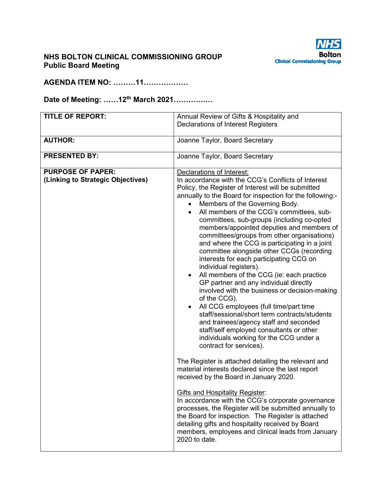

#### **NHS BOLTON CLINICAL COMMISSIONING GROUP Public Board Meeting**

### **AGENDA ITEM NO: ………11………………**

#### **Date of Meeting: ……12th March 2021………….…**

| <b>TITLE OF REPORT:</b>           | Annual Review of Gifts & Hospitality and                                                                                                                                                                                                                                                                                                                                                                                                                                                                                                                                                                                                                                                                                                                                                                                                                                                                                                                                        |
|-----------------------------------|---------------------------------------------------------------------------------------------------------------------------------------------------------------------------------------------------------------------------------------------------------------------------------------------------------------------------------------------------------------------------------------------------------------------------------------------------------------------------------------------------------------------------------------------------------------------------------------------------------------------------------------------------------------------------------------------------------------------------------------------------------------------------------------------------------------------------------------------------------------------------------------------------------------------------------------------------------------------------------|
|                                   | <b>Declarations of Interest Registers</b>                                                                                                                                                                                                                                                                                                                                                                                                                                                                                                                                                                                                                                                                                                                                                                                                                                                                                                                                       |
|                                   |                                                                                                                                                                                                                                                                                                                                                                                                                                                                                                                                                                                                                                                                                                                                                                                                                                                                                                                                                                                 |
| <b>AUTHOR:</b>                    | Joanne Taylor, Board Secretary                                                                                                                                                                                                                                                                                                                                                                                                                                                                                                                                                                                                                                                                                                                                                                                                                                                                                                                                                  |
| <b>PRESENTED BY:</b>              | Joanne Taylor, Board Secretary                                                                                                                                                                                                                                                                                                                                                                                                                                                                                                                                                                                                                                                                                                                                                                                                                                                                                                                                                  |
| <b>PURPOSE OF PAPER:</b>          | Declarations of Interest:                                                                                                                                                                                                                                                                                                                                                                                                                                                                                                                                                                                                                                                                                                                                                                                                                                                                                                                                                       |
| (Linking to Strategic Objectives) | In accordance with the CCG's Conflicts of Interest<br>Policy, the Register of Interest will be submitted<br>annually to the Board for inspection for the following:-<br>Members of the Governing Body.<br>All members of the CCG's committees, sub-<br>committees, sub-groups (including co-opted<br>members/appointed deputies and members of<br>committees/groups from other organisations)<br>and where the CCG is participating in a joint<br>committee alongside other CCGs (recording<br>interests for each participating CCG on<br>individual registers).<br>All members of the CCG (ie: each practice<br>GP partner and any individual directly<br>involved with the business or decision-making<br>of the CCG).<br>All CCG employees (full time/part time<br>staff/sessional/short term contracts/students<br>and trainees/agency staff and seconded<br>staff/self employed consultants or other<br>individuals working for the CCG under a<br>contract for services). |
|                                   | The Register is attached detailing the relevant and<br>material interests declared since the last report<br>received by the Board in January 2020.                                                                                                                                                                                                                                                                                                                                                                                                                                                                                                                                                                                                                                                                                                                                                                                                                              |
|                                   | <b>Gifts and Hospitality Register:</b><br>In accordance with the CCG's corporate governance<br>processes, the Register will be submitted annually to<br>the Board for inspection. The Register is attached<br>detailing gifts and hospitality received by Board<br>members, employees and clinical leads from January<br>2020 to date.                                                                                                                                                                                                                                                                                                                                                                                                                                                                                                                                                                                                                                          |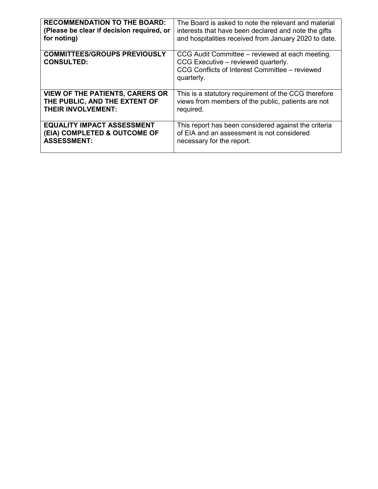| <b>RECOMMENDATION TO THE BOARD:</b>                      | The Board is asked to note the relevant and material                                                                                                   |
|----------------------------------------------------------|--------------------------------------------------------------------------------------------------------------------------------------------------------|
| (Please be clear if decision required, or                | interests that have been declared and note the gifts                                                                                                   |
| for noting)                                              | and hospitalities received from January 2020 to date.                                                                                                  |
| <b>COMMITTEES/GROUPS PREVIOUSLY</b><br><b>CONSULTED:</b> | CCG Audit Committee – reviewed at each meeting.<br>CCG Executive – reviewed quarterly.<br>CCG Conflicts of Interest Committee – reviewed<br>quarterly. |
| <b>VIEW OF THE PATIENTS, CARERS OR</b>                   | This is a statutory requirement of the CCG therefore                                                                                                   |
| THE PUBLIC, AND THE EXTENT OF                            | views from members of the public, patients are not                                                                                                     |
| <b>THEIR INVOLVEMENT:</b>                                | required.                                                                                                                                              |
| <b>EQUALITY IMPACT ASSESSMENT</b>                        | This report has been considered against the criteria                                                                                                   |
| (EIA) COMPLETED & OUTCOME OF                             | of EIA and an assessment is not considered                                                                                                             |
| <b>ASSESSMENT:</b>                                       | necessary for the report.                                                                                                                              |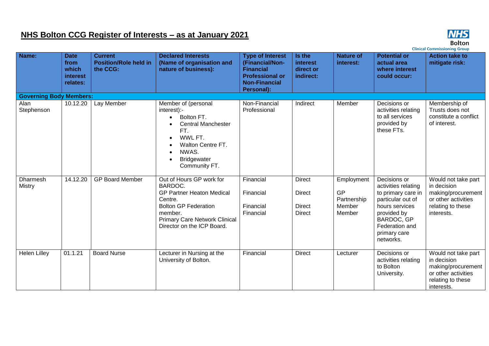### **NHS Bolton CCG Register of Interests – as at January 2021**



**Bolton**<br>Clinical Commissioning Group

| Name:                          | <b>Date</b><br>from<br>which<br>interest<br>relates: | <b>Current</b><br><b>Position/Role held in</b><br>the CCG: | <b>Declared Interests</b><br>(Name of organisation and<br>nature of business):                                                                                                                     | <b>Type of Interest</b><br>(Financial/Non-<br><b>Financial</b><br><b>Professional or</b><br><b>Non-Financial</b><br>Personal): | Is the<br>interest<br>direct or<br>indirect:                     | <b>Nature of</b><br>interest:                       | <b>Potential or</b><br>actual area<br>where interest<br>could occur:                                                                                                         | <b>Action take to</b><br>mitigate risk:                                                                            |
|--------------------------------|------------------------------------------------------|------------------------------------------------------------|----------------------------------------------------------------------------------------------------------------------------------------------------------------------------------------------------|--------------------------------------------------------------------------------------------------------------------------------|------------------------------------------------------------------|-----------------------------------------------------|------------------------------------------------------------------------------------------------------------------------------------------------------------------------------|--------------------------------------------------------------------------------------------------------------------|
| <b>Governing Body Members:</b> |                                                      |                                                            |                                                                                                                                                                                                    |                                                                                                                                |                                                                  |                                                     |                                                                                                                                                                              |                                                                                                                    |
| Alan<br>Stephenson             | 10.12.20                                             | Lay Member                                                 | Member of (personal<br>interest):-<br>Bolton FT.<br><b>Central Manchester</b><br>FT.<br>WWL FT.<br>$\bullet$<br>Walton Centre FT.<br>NWAS.<br><b>Bridgewater</b><br>Community FT.                  | Non-Financial<br>Professional                                                                                                  | Indirect                                                         | Member                                              | Decisions or<br>activities relating<br>to all services<br>provided by<br>these FTs.                                                                                          | Membership of<br>Trusts does not<br>constitute a conflict<br>of interest.                                          |
| Dharmesh<br>Mistry             | 14.12.20                                             | <b>GP Board Member</b>                                     | Out of Hours GP work for<br>BARDOC.<br><b>GP Partner Heaton Medical</b><br>Centre.<br><b>Bolton GP Federation</b><br>member.<br><b>Primary Care Network Clinical</b><br>Director on the ICP Board. | Financial<br>Financial<br>Financial<br>Financial                                                                               | <b>Direct</b><br><b>Direct</b><br><b>Direct</b><br><b>Direct</b> | Employment<br>GP<br>Partnership<br>Member<br>Member | Decisions or<br>activities relating<br>to primary care in<br>particular out of<br>hours services<br>provided by<br>BARDOC, GP<br>Federation and<br>primary care<br>networks. | Would not take part<br>in decision<br>making/procurement<br>or other activities<br>relating to these<br>interests. |
| <b>Helen Lilley</b>            | 01.1.21                                              | <b>Board Nurse</b>                                         | Lecturer in Nursing at the<br>University of Bolton.                                                                                                                                                | Financial                                                                                                                      | <b>Direct</b>                                                    | Lecturer                                            | Decisions or<br>activities relating<br>to Bolton<br>University.                                                                                                              | Would not take part<br>in decision<br>making/procurement<br>or other activities<br>relating to these<br>interests. |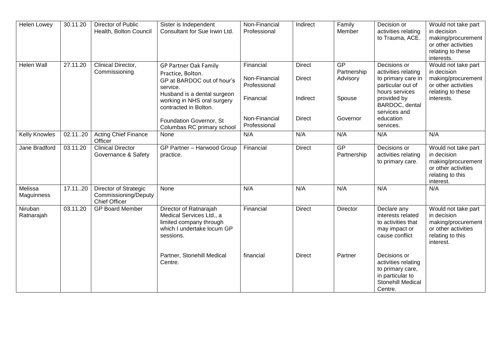| <b>Helen Lowey</b>    | 30.11.20 | Director of Public<br>Health, Bolton Council                          | Sister is Independent<br>Consultant for Sue Irwin Ltd.                                                                                                                                                                                      | Non-Financial<br>Professional                                                            | Indirect                                                    | Family<br>Member                                           | Decision or<br>activities relating<br>to Trauma, ACE.                                                                                                                       | Would not take part<br>in decision<br>making/procurement<br>or other activities<br>relating to these<br>interests. |
|-----------------------|----------|-----------------------------------------------------------------------|---------------------------------------------------------------------------------------------------------------------------------------------------------------------------------------------------------------------------------------------|------------------------------------------------------------------------------------------|-------------------------------------------------------------|------------------------------------------------------------|-----------------------------------------------------------------------------------------------------------------------------------------------------------------------------|--------------------------------------------------------------------------------------------------------------------|
| Helen Wall            | 27.11.20 | Clinical Director,<br>Commissioning                                   | <b>GP Partner Oak Family</b><br>Practice, Bolton.<br>GP at BARDOC out of hour's<br>service.<br>Husband is a dental surgeon<br>working in NHS oral surgery<br>contracted in Bolton.<br>Foundation Governor, St<br>Columbas RC primary school | Financial<br>Non-Financial<br>Professional<br>Financial<br>Non-Financial<br>Professional | <b>Direct</b><br><b>Direct</b><br>Indirect<br><b>Direct</b> | <b>GP</b><br>Partnership<br>Advisory<br>Spouse<br>Governor | Decisions or<br>activities relating<br>to primary care in<br>particular out of<br>hours services<br>provided by<br>BARDOC, dental<br>services and<br>education<br>services. | Would not take part<br>in decision<br>making/procurement<br>or other activities<br>relating to these<br>interests. |
| <b>Kelly Knowles</b>  | 02.1120  | <b>Acting Chief Finance</b><br>Officer                                | <b>None</b>                                                                                                                                                                                                                                 | N/A                                                                                      | N/A                                                         | N/A                                                        | N/A                                                                                                                                                                         | N/A                                                                                                                |
| Jane Bradford         | 03.11.20 | <b>Clinical Director</b><br>Governance & Safety                       | GP Partner - Harwood Group<br>practice.                                                                                                                                                                                                     | Financial                                                                                | <b>Direct</b>                                               | GP<br>Partnership                                          | Decisions or<br>activities relating<br>to primary care.                                                                                                                     | Would not take part<br>in decision<br>making/procurement<br>or other activities<br>relating to this<br>interest.   |
| Melissa<br>Maguinness | 17.1120  | Director of Strategic<br>Commissioning/Deputy<br><b>Chief Officer</b> | None                                                                                                                                                                                                                                        | N/A                                                                                      | N/A                                                         | N/A                                                        | N/A                                                                                                                                                                         | N/A                                                                                                                |
| Niruban<br>Ratnarajah | 03.11.20 | <b>GP Board Member</b>                                                | Director of Ratnarajah<br>Medical Services Ltd., a<br>limited company through<br>which I undertake locum GP<br>sessions.                                                                                                                    | Financial                                                                                | <b>Direct</b>                                               | Director                                                   | Declare any<br>interests related<br>to activities that<br>may impact or<br>cause conflict                                                                                   | Would not take part<br>in decision<br>making/procurement<br>or other activities<br>relating to this<br>interest.   |
|                       |          |                                                                       | Partner, Stonehill Medical<br>Centre.                                                                                                                                                                                                       | financial                                                                                | <b>Direct</b>                                               | Partner                                                    | Decisions or<br>activities relating<br>to primary care,<br>in particular to<br>Stonehill Medical<br>Centre.                                                                 |                                                                                                                    |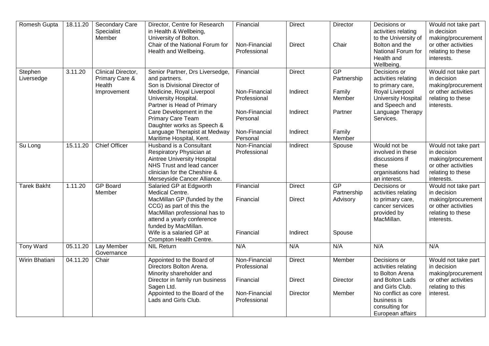| Romesh Gupta          | 18.11.20 | Secondary Care<br>Specialist<br>Member         | Director, Centre for Research<br>in Health & Wellbeing,<br>University of Bolton.                                                                                                                                         | Financial                                  | <b>Direct</b>                              | Director                                | Decisions or<br>activities relating<br>to the University of                                             | Would not take part<br>in decision<br>making/procurement                                                           |
|-----------------------|----------|------------------------------------------------|--------------------------------------------------------------------------------------------------------------------------------------------------------------------------------------------------------------------------|--------------------------------------------|--------------------------------------------|-----------------------------------------|---------------------------------------------------------------------------------------------------------|--------------------------------------------------------------------------------------------------------------------|
|                       |          |                                                | Chair of the National Forum for<br>Health and Wellbeing.                                                                                                                                                                 | Non-Financial<br>Professional              | <b>Direct</b>                              | Chair                                   | Bolton and the<br>National Forum for<br>Health and<br>Wellbeing.                                        | or other activities<br>relating to these<br>interests.                                                             |
| Stephen<br>Liversedge | 3.11.20  | Clinical Director,<br>Primary Care &<br>Health | Senior Partner, Drs Liversedge,<br>and partners.<br>Son is Divisional Director of                                                                                                                                        | Financial                                  | <b>Direct</b>                              | GP<br>Partnership                       | Decisions or<br>activities relating<br>to primary care,                                                 | Would not take part<br>in decision<br>making/procurement                                                           |
|                       |          | Improvement                                    | Medicine, Royal Liverpool<br>University Hospital.<br>Partner is Head of Primary                                                                                                                                          | Non-Financial<br>Professional              | Indirect                                   | Family<br>Member                        | Royal Liverpool<br><b>University Hospital</b><br>and Speech and                                         | or other activities<br>relating to these<br>interests.                                                             |
|                       |          |                                                | Care Development in the<br>Primary Care Team<br>Daughter works as Speech &                                                                                                                                               | Non-Financial<br>Personal                  | Indirect                                   | Partner                                 | Language Therapy<br>Services.                                                                           |                                                                                                                    |
|                       |          |                                                | Language Therapist at Medway<br>Maritime Hospital, Kent.                                                                                                                                                                 | Non-Financial<br>Personal                  | Indirect                                   | Family<br>Member                        |                                                                                                         |                                                                                                                    |
| Su Long               | 15.11.20 | <b>Chief Officer</b>                           | Husband is a Consultant<br>Respiratory Physician at<br><b>Aintree University Hospital</b><br>NHS Trust and lead cancer<br>clinician for the Cheshire &<br>Merseyside Cancer Alliance.                                    | Non-Financial<br>Professional              | Indirect                                   | Spouse                                  | Would not be<br>involved in these<br>discussions if<br>these<br>organisations had<br>an interest.       | Would not take part<br>in decision<br>making/procurement<br>or other activities<br>relating to these<br>interests. |
| <b>Tarek Bakht</b>    | 1.11.20  | <b>GP Board</b><br>Member                      | Salaried GP at Edgworth<br>Medical Centre.<br>MacMillan GP (funded by the<br>CCG) as part of this the<br>MacMillan professional has to<br>attend a yearly conference<br>funded by MacMillan.<br>Wife is a salaried GP at | Financial<br>Financial<br>Financial        | <b>Direct</b><br><b>Direct</b><br>Indirect | GP<br>Partnership<br>Advisory<br>Spouse | Decisions or<br>activities relating<br>to primary care,<br>cancer services<br>provided by<br>MacMillan. | Would not take part<br>in decision<br>making/procurement<br>or other activities<br>relating to these<br>interests. |
| <b>Tony Ward</b>      | 05.11.20 | Lay Member                                     | Crompton Health Centre.<br><b>NIL Return</b>                                                                                                                                                                             | N/A                                        | N/A                                        | N/A                                     | N/A                                                                                                     | N/A                                                                                                                |
|                       |          | Governance                                     |                                                                                                                                                                                                                          |                                            |                                            |                                         |                                                                                                         |                                                                                                                    |
| Wirin Bhatiani        | 04.11.20 | Chair                                          | Appointed to the Board of<br>Directors Bolton Arena.<br>Minority shareholder and<br>Director in family run business                                                                                                      | Non-Financial<br>Professional<br>Financial | <b>Direct</b><br><b>Direct</b>             | Member<br>Director                      | Decisions or<br>activities relating<br>to Bolton Arena<br>and Bolton Lads                               | Would not take part<br>in decision<br>making/procurement<br>or other activities                                    |
|                       |          |                                                | Sagen Ltd.<br>Appointed to the Board of the<br>Lads and Girls Club.                                                                                                                                                      | Non-Financial<br>Professional              | Director                                   | Member                                  | and Girls Club.<br>No conflict as core<br>business is<br>consulting for<br>European affairs             | relating to this<br>interest.                                                                                      |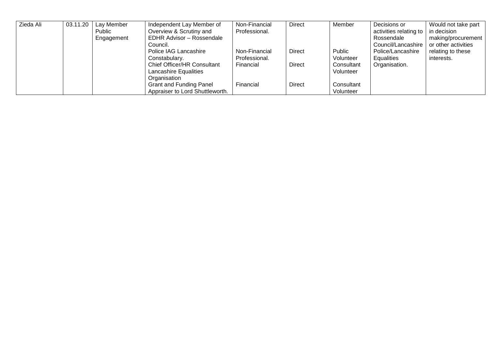| Zieda Ali | 03.11.20 | Lay Member | Independent Lay Member of          | Non-Financial | <b>Direct</b> | Member     | Decisions or           | Would not take part |
|-----------|----------|------------|------------------------------------|---------------|---------------|------------|------------------------|---------------------|
|           |          | Public     | Overview & Scrutiny and            | Professional. |               |            | activities relating to | in decision         |
|           |          | Engagement | <b>EDHR Advisor - Rossendale</b>   |               |               |            | Rossendale             | making/procurement  |
|           |          |            | Council.                           |               |               |            | Council/Lancashire     | or other activities |
|           |          |            | Police IAG Lancashire              | Non-Financial | <b>Direct</b> | Public     | Police/Lancashire      | relating to these   |
|           |          |            | Constabulary.                      | Professional. |               | Volunteer  | Equalities             | interests.          |
|           |          |            | <b>Chief Officer/HR Consultant</b> | Financial     | <b>Direct</b> | Consultant | Organisation.          |                     |
|           |          |            | <b>Lancashire Equalities</b>       |               |               | Volunteer  |                        |                     |
|           |          |            | Organisation                       |               |               |            |                        |                     |
|           |          |            | <b>Grant and Funding Panel</b>     | Financial     | <b>Direct</b> | Consultant |                        |                     |
|           |          |            | Appraiser to Lord Shuttleworth.    |               |               | Volunteer  |                        |                     |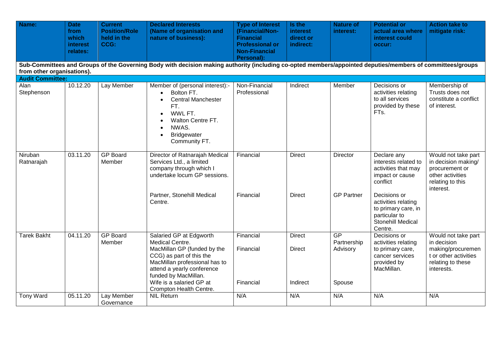| Name:                      | <b>Date</b><br>from<br>which<br>interest<br>relates: | <b>Current</b><br><b>Position/Role</b><br>held in the<br>CCG: | <b>Declared Interests</b><br>(Name of organisation and<br>nature of business):                                                                                                                                                                      | <b>Type of Interest</b><br>(Financial/Non-<br><b>Financial</b><br><b>Professional or</b><br><b>Non-Financial</b><br>Personal): | Is the<br><b>interest</b><br>direct or<br>indirect: | <b>Nature of</b><br>interest:           | <b>Potential or</b><br>actual area where<br>interest could<br>occur:                                                                                                     | <b>Action take to</b><br>mitigate risk:                                                                             |
|----------------------------|------------------------------------------------------|---------------------------------------------------------------|-----------------------------------------------------------------------------------------------------------------------------------------------------------------------------------------------------------------------------------------------------|--------------------------------------------------------------------------------------------------------------------------------|-----------------------------------------------------|-----------------------------------------|--------------------------------------------------------------------------------------------------------------------------------------------------------------------------|---------------------------------------------------------------------------------------------------------------------|
| from other organisations). |                                                      |                                                               | Sub-Committees and Groups of the Governing Body with decision making authority (including co-opted members/appointed deputies/members of committees/groups                                                                                          |                                                                                                                                |                                                     |                                         |                                                                                                                                                                          |                                                                                                                     |
| <b>Audit Committee:</b>    |                                                      |                                                               |                                                                                                                                                                                                                                                     |                                                                                                                                |                                                     |                                         |                                                                                                                                                                          |                                                                                                                     |
| Alan<br>Stephenson         | 10.12.20                                             | Lay Member                                                    | Member of (personal interest):-<br>Bolton FT.<br>$\bullet$<br><b>Central Manchester</b><br>FT.<br>WWL FT.<br>$\bullet$<br>Walton Centre FT.<br>NWAS.<br>$\bullet$<br><b>Bridgewater</b><br>$\bullet$<br>Community FT.                               | Non-Financial<br>Professional                                                                                                  | Indirect                                            | Member                                  | Decisions or<br>activities relating<br>to all services<br>provided by these<br>FTs.                                                                                      | Membership of<br>Trusts does not<br>constitute a conflict<br>of interest.                                           |
| Niruban<br>Ratnarajah      | 03.11.20                                             | <b>GP Board</b><br>Member                                     | Director of Ratnarajah Medical<br>Services Ltd., a limited<br>company through which I<br>undertake locum GP sessions.<br>Partner, Stonehill Medical<br>Centre.                                                                                      | Financial<br>Financial                                                                                                         | <b>Direct</b><br><b>Direct</b>                      | Director<br><b>GP Partner</b>           | Declare any<br>interests related to<br>activities that may<br>impact or cause<br>conflict<br>Decisions or<br>activities relating<br>to primary care, in<br>particular to | Would not take part<br>in decision making/<br>procurement or<br>other activities<br>relating to this<br>interest.   |
|                            |                                                      |                                                               |                                                                                                                                                                                                                                                     |                                                                                                                                |                                                     |                                         | Stonehill Medical                                                                                                                                                        |                                                                                                                     |
| <b>Tarek Bakht</b>         | 04.11.20                                             | <b>GP Board</b><br>Member                                     | Salaried GP at Edgworth<br>Medical Centre.<br>MacMillan GP (funded by the<br>CCG) as part of this the<br>MacMillan professional has to<br>attend a yearly conference<br>funded by MacMillan.<br>Wife is a salaried GP at<br>Crompton Health Centre. | Financial<br>Financial<br>Financial                                                                                            | <b>Direct</b><br><b>Direct</b><br>Indirect          | GP<br>Partnership<br>Advisory<br>Spouse | Centre.<br>Decisions or<br>activities relating<br>to primary care,<br>cancer services<br>provided by<br>MacMillan.                                                       | Would not take part<br>in decision<br>making/procuremen<br>t or other activities<br>relating to these<br>interests. |
| Tony Ward                  | 05.11.20                                             | Lay Member<br>Governance                                      | <b>NIL Return</b>                                                                                                                                                                                                                                   | N/A                                                                                                                            | N/A                                                 | N/A                                     | N/A                                                                                                                                                                      | N/A                                                                                                                 |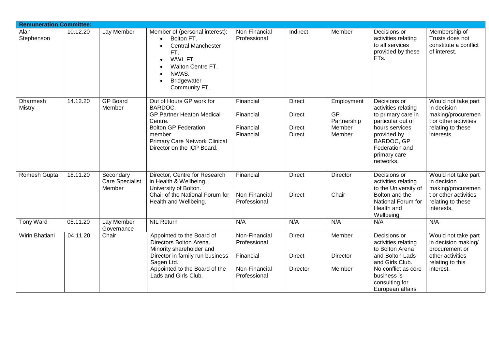| <b>Remuneration Committee:</b> |          |                                               |                                                                                                                                                                                                                       |                                                                             |                                                                  |                                                            |                                                                                                                                                                              |                                                                                                                     |
|--------------------------------|----------|-----------------------------------------------|-----------------------------------------------------------------------------------------------------------------------------------------------------------------------------------------------------------------------|-----------------------------------------------------------------------------|------------------------------------------------------------------|------------------------------------------------------------|------------------------------------------------------------------------------------------------------------------------------------------------------------------------------|---------------------------------------------------------------------------------------------------------------------|
| Alan<br>Stephenson             | 10.12.20 | Lay Member                                    | Member of (personal interest):-<br>Bolton FT.<br>$\bullet$<br><b>Central Manchester</b><br>$\bullet$<br>FT.<br>WWL FT.<br>Walton Centre FT.<br>NWAS.<br>$\bullet$<br><b>Bridgewater</b><br>$\bullet$<br>Community FT. | Non-Financial<br>Professional                                               | Indirect                                                         | Member                                                     | Decisions or<br>activities relating<br>to all services<br>provided by these<br>FTs.                                                                                          | Membership of<br>Trusts does not<br>constitute a conflict<br>of interest.                                           |
| Dharmesh<br><b>Mistry</b>      | 14.12.20 | <b>GP Board</b><br>Member                     | Out of Hours GP work for<br>BARDOC.<br><b>GP Partner Heaton Medical</b><br>Centre.<br><b>Bolton GP Federation</b><br>member.<br><b>Primary Care Network Clinical</b><br>Director on the ICP Board.                    | Financial<br>Financial<br>Financial<br>Financial                            | <b>Direct</b><br><b>Direct</b><br><b>Direct</b><br><b>Direct</b> | Employment<br><b>GP</b><br>Partnership<br>Member<br>Member | Decisions or<br>activities relating<br>to primary care in<br>particular out of<br>hours services<br>provided by<br>BARDOC, GP<br>Federation and<br>primary care<br>networks. | Would not take part<br>in decision<br>making/procuremen<br>t or other activities<br>relating to these<br>interests. |
| Romesh Gupta                   | 18.11.20 | Secondary<br><b>Care Specialist</b><br>Member | Director, Centre for Research<br>in Health & Wellbeing,<br>University of Bolton.<br>Chair of the National Forum for<br>Health and Wellbeing.                                                                          | Financial<br>Non-Financial<br>Professional                                  | <b>Direct</b><br><b>Direct</b>                                   | Director<br>Chair                                          | Decisions or<br>activities relating<br>to the University of<br>Bolton and the<br>National Forum for<br>Health and<br>Wellbeing.                                              | Would not take part<br>in decision<br>making/procuremen<br>t or other activities<br>relating to these<br>interests. |
| Tony Ward                      | 05.11.20 | Lay Member<br>Governance                      | <b>NIL Return</b>                                                                                                                                                                                                     | N/A                                                                         | N/A                                                              | N/A                                                        | N/A                                                                                                                                                                          | N/A                                                                                                                 |
| Wirin Bhatiani                 | 04.11.20 | Chair                                         | Appointed to the Board of<br>Directors Bolton Arena.<br>Minority shareholder and<br>Director in family run business<br>Sagen Ltd.<br>Appointed to the Board of the<br>Lads and Girls Club.                            | Non-Financial<br>Professional<br>Financial<br>Non-Financial<br>Professional | <b>Direct</b><br><b>Direct</b><br>Director                       | Member<br><b>Director</b><br>Member                        | Decisions or<br>activities relating<br>to Bolton Arena<br>and Bolton Lads<br>and Girls Club.<br>No conflict as core<br>business is<br>consulting for<br>European affairs     | Would not take part<br>in decision making/<br>procurement or<br>other activities<br>relating to this<br>interest.   |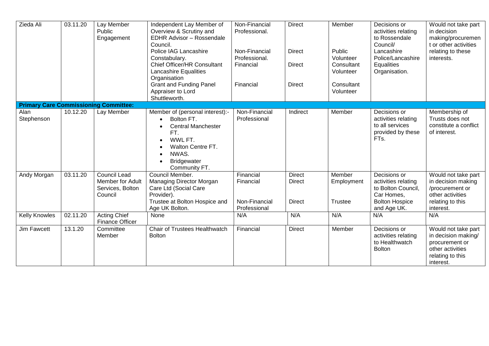| Zieda Ali                                    | 03.11.20 | Lay Member<br>Public<br>Engagement                                     | Independent Lay Member of<br>Overview & Scrutiny and<br><b>EDHR Advisor - Rossendale</b><br>Council.<br>Police IAG Lancashire<br>Constabulary.<br>Chief Officer/HR Consultant<br>Lancashire Equalities<br>Organisation | Non-Financial<br>Professional.<br>Non-Financial<br>Professional.<br>Financial | <b>Direct</b><br><b>Direct</b><br><b>Direct</b> | Member<br>Public<br>Volunteer<br>Consultant<br>Volunteer | Decisions or<br>activities relating<br>to Rossendale<br>Council/<br>Lancashire<br>Police/Lancashire<br>Equalities<br>Organisation. | Would not take part<br>in decision<br>making/procuremen<br>t or other activities<br>relating to these<br>interests. |
|----------------------------------------------|----------|------------------------------------------------------------------------|------------------------------------------------------------------------------------------------------------------------------------------------------------------------------------------------------------------------|-------------------------------------------------------------------------------|-------------------------------------------------|----------------------------------------------------------|------------------------------------------------------------------------------------------------------------------------------------|---------------------------------------------------------------------------------------------------------------------|
|                                              |          |                                                                        | <b>Grant and Funding Panel</b><br>Appraiser to Lord<br>Shuttleworth.                                                                                                                                                   | Financial                                                                     | <b>Direct</b>                                   | Consultant<br>Volunteer                                  |                                                                                                                                    |                                                                                                                     |
| <b>Primary Care Commissioning Committee:</b> |          |                                                                        |                                                                                                                                                                                                                        |                                                                               |                                                 |                                                          |                                                                                                                                    |                                                                                                                     |
| Alan<br>Stephenson                           | 10.12.20 | Lay Member                                                             | Member of (personal interest):-<br>Bolton FT.<br><b>Central Manchester</b><br>FT.<br>WWL FT.<br>Walton Centre FT.<br>NWAS.<br><b>Bridgewater</b><br>Community FT.                                                      | Non-Financial<br>Professional                                                 | Indirect                                        | Member                                                   | Decisions or<br>activities relating<br>to all services<br>provided by these<br>FTs.                                                | Membership of<br>Trusts does not<br>constitute a conflict<br>of interest.                                           |
| Andy Morgan                                  | 03.11.20 | <b>Council Lead</b><br>Member for Adult<br>Services, Bolton<br>Council | Council Member.<br>Managing Director Morgan<br>Care Ltd (Social Care<br>Provider).<br>Trustee at Bolton Hospice and<br>Age UK Bolton.                                                                                  | Financial<br>Financial<br>Non-Financial<br>Professional                       | <b>Direct</b><br><b>Direct</b><br><b>Direct</b> | Member<br>Employment<br><b>Trustee</b>                   | Decisions or<br>activities relating<br>to Bolton Council,<br>Car Homes,<br><b>Bolton Hospice</b><br>and Age UK.                    | Would not take part<br>in decision making<br>/procurement or<br>other activities<br>relating to this<br>interest.   |
| <b>Kelly Knowles</b>                         | 02.11.20 | <b>Acting Chief</b><br><b>Finance Officer</b>                          | None                                                                                                                                                                                                                   | N/A                                                                           | N/A                                             | N/A                                                      | N/A                                                                                                                                | N/A                                                                                                                 |
| <b>Jim Fawcett</b>                           | 13.1.20  | Committee<br>Member                                                    | <b>Chair of Trustees Healthwatch</b><br><b>Bolton</b>                                                                                                                                                                  | Financial                                                                     | <b>Direct</b>                                   | Member                                                   | Decisions or<br>activities relating<br>to Healthwatch<br><b>Bolton</b>                                                             | Would not take part<br>in decision making/<br>procurement or<br>other activities<br>relating to this<br>interest.   |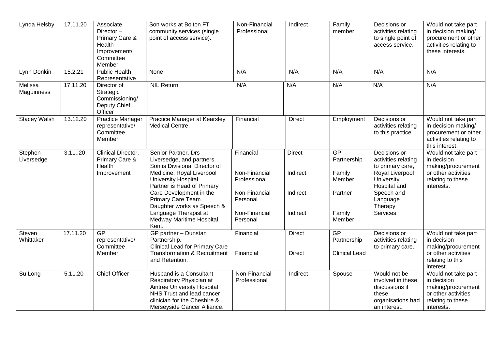| Lynda Helsby          | 17.11.20 | Associate<br>Director-<br>Primary Care &<br>Health<br>Improvement/<br>Committee<br>Member | Son works at Bolton FT<br>community services (single<br>point of access service).                                                                                                                                                                                                                                 | Non-Financial<br>Professional                                                                        | Indirect                                          | Family<br>member                                                     | Decisions or<br>activities relating<br>to single point of<br>access service.                                                                               | Would not take part<br>in decision making/<br>procurement or other<br>activities relating to<br>these interests.   |
|-----------------------|----------|-------------------------------------------------------------------------------------------|-------------------------------------------------------------------------------------------------------------------------------------------------------------------------------------------------------------------------------------------------------------------------------------------------------------------|------------------------------------------------------------------------------------------------------|---------------------------------------------------|----------------------------------------------------------------------|------------------------------------------------------------------------------------------------------------------------------------------------------------|--------------------------------------------------------------------------------------------------------------------|
| Lynn Donkin           | 15.2.21  | <b>Public Health</b><br>Representative                                                    | None                                                                                                                                                                                                                                                                                                              | N/A                                                                                                  | N/A                                               | N/A                                                                  | N/A                                                                                                                                                        | N/A                                                                                                                |
| Melissa<br>Maguinness | 17.11.20 | Director of<br>Strategic<br>Commissioning/<br>Deputy Chief<br>Officer                     | <b>NIL Return</b>                                                                                                                                                                                                                                                                                                 | N/A                                                                                                  | N/A                                               | N/A                                                                  | N/A                                                                                                                                                        | N/A                                                                                                                |
| <b>Stacey Walsh</b>   | 13.12.20 | <b>Practice Manager</b><br>representative/<br>Committee<br>Member                         | Practice Manager at Kearsley<br>Medical Centre.                                                                                                                                                                                                                                                                   | Financial                                                                                            | <b>Direct</b>                                     | Employment                                                           | Decisions or<br>activities relating<br>to this practice.                                                                                                   | Would not take part<br>in decision making/<br>procurement or other<br>activities relating to<br>this interest.     |
| Stephen<br>Liversedge | 3.1120   | Clinical Director,<br>Primary Care &<br>Health<br>Improvement                             | Senior Partner, Drs<br>Liversedge, and partners.<br>Son is Divisional Director of<br>Medicine, Royal Liverpool<br>University Hospital.<br>Partner is Head of Primary<br>Care Development in the<br>Primary Care Team<br>Daughter works as Speech &<br>Language Therapist at<br>Medway Maritime Hospital,<br>Kent. | Financial<br>Non-Financial<br>Professional<br>Non-Financial<br>Personal<br>Non-Financial<br>Personal | <b>Direct</b><br>Indirect<br>Indirect<br>Indirect | GP<br>Partnership<br>Family<br>Member<br>Partner<br>Family<br>Member | Decisions or<br>activities relating<br>to primary care,<br>Royal Liverpool<br>University<br>Hospital and<br>Speech and<br>Language<br>Therapy<br>Services. | Would not take part<br>in decision<br>making/procurement<br>or other activities<br>relating to these<br>interests. |
| Steven<br>Whittaker   | 17.11.20 | GP<br>representative/<br>Committee<br>Member                                              | GP partner - Dunstan<br>Partnership.<br><b>Clinical Lead for Primary Care</b><br><b>Transformation &amp; Recruitment</b><br>and Retention.                                                                                                                                                                        | Financial<br>Financial                                                                               | <b>Direct</b><br><b>Direct</b>                    | <b>GP</b><br>Partnership<br><b>Clinical Lead</b>                     | Decisions or<br>activities relating<br>to primary care.                                                                                                    | Would not take part<br>in decision<br>making/procurement<br>or other activities<br>relating to this<br>interest.   |
| Su Long               | 5.11.20  | <b>Chief Officer</b>                                                                      | Husband is a Consultant<br>Respiratory Physician at<br>Aintree University Hospital<br>NHS Trust and lead cancer<br>clinician for the Cheshire &<br>Merseyside Cancer Alliance.                                                                                                                                    | Non-Financial<br>Professional                                                                        | Indirect                                          | Spouse                                                               | Would not be<br>involved in these<br>discussions if<br>these<br>organisations had<br>an interest.                                                          | Would not take part<br>in decision<br>making/procurement<br>or other activities<br>relating to these<br>interests. |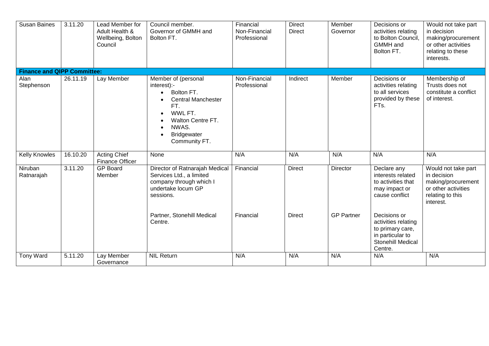| <b>Susan Baines</b>                | 3.11.20  | Lead Member for<br>Adult Health &<br>Wellbeing, Bolton<br>Council | Council member.<br>Governor of GMMH and<br>Bolton FT.                                                                                                                                                                                 | Financial<br>Non-Financial<br>Professional | <b>Direct</b><br><b>Direct</b> | Member<br>Governor            | Decisions or<br>activities relating<br>to Bolton Council,<br><b>GMMH</b> and<br>Bolton FT.                | Would not take part<br>in decision<br>making/procurement<br>or other activities<br>relating to these<br>interests. |
|------------------------------------|----------|-------------------------------------------------------------------|---------------------------------------------------------------------------------------------------------------------------------------------------------------------------------------------------------------------------------------|--------------------------------------------|--------------------------------|-------------------------------|-----------------------------------------------------------------------------------------------------------|--------------------------------------------------------------------------------------------------------------------|
| <b>Finance and QIPP Committee:</b> |          |                                                                   |                                                                                                                                                                                                                                       |                                            |                                |                               |                                                                                                           |                                                                                                                    |
| Alan<br>Stephenson                 | 26.11.19 | Lay Member                                                        | Member of (personal<br>interest):-<br>Bolton FT.<br>$\bullet$<br><b>Central Manchester</b><br>$\bullet$<br>FT.<br>WWL FT.<br>$\bullet$<br>Walton Centre FT.<br>$\bullet$<br>NWAS.<br>$\bullet$<br><b>Bridgewater</b><br>Community FT. | Non-Financial<br>Professional              | Indirect                       | Member                        | Decisions or<br>activities relating<br>to all services<br>provided by these<br>FTs.                       | Membership of<br>Trusts does not<br>constitute a conflict<br>of interest.                                          |
| <b>Kelly Knowles</b>               | 16.10.20 | <b>Acting Chief</b><br><b>Finance Officer</b>                     | None                                                                                                                                                                                                                                  | N/A                                        | N/A                            | N/A                           | N/A                                                                                                       | N/A                                                                                                                |
| Niruban<br>Ratnarajah              | 3.11.20  | <b>GP Board</b><br>Member                                         | Director of Ratnarajah Medical<br>Services Ltd., a limited<br>company through which I<br>undertake locum GP<br>sessions.<br>Partner, Stonehill Medical                                                                                | Financial<br>Financial                     | <b>Direct</b><br><b>Direct</b> | Director<br><b>GP Partner</b> | Declare any<br>interests related<br>to activities that<br>may impact or<br>cause conflict<br>Decisions or | Would not take part<br>in decision<br>making/procurement<br>or other activities<br>relating to this<br>interest.   |
|                                    |          |                                                                   | Centre.                                                                                                                                                                                                                               |                                            |                                |                               | activities relating<br>to primary care,<br>in particular to<br>Stonehill Medical<br>Centre.               |                                                                                                                    |
| <b>Tony Ward</b>                   | 5.11.20  | Lay Member<br>Governance                                          | <b>NIL Return</b>                                                                                                                                                                                                                     | N/A                                        | N/A                            | N/A                           | N/A                                                                                                       | N/A                                                                                                                |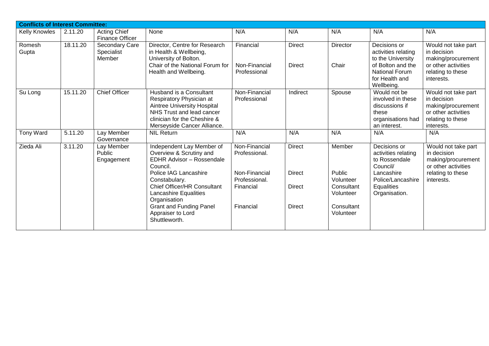|                  | <b>Conflicts of Interest Committee:</b> |                                               |                                                                                                                                                                                |                                             |                                |                                                |                                                                                                                                        |                                                                                                                    |  |  |  |  |
|------------------|-----------------------------------------|-----------------------------------------------|--------------------------------------------------------------------------------------------------------------------------------------------------------------------------------|---------------------------------------------|--------------------------------|------------------------------------------------|----------------------------------------------------------------------------------------------------------------------------------------|--------------------------------------------------------------------------------------------------------------------|--|--|--|--|
| Kelly Knowles    | 2.11.20                                 | <b>Acting Chief</b><br><b>Finance Officer</b> | None                                                                                                                                                                           | N/A                                         | N/A                            | N/A                                            | N/A                                                                                                                                    | N/A                                                                                                                |  |  |  |  |
| Romesh<br>Gupta  | 18.11.20                                | Secondary Care<br>Specialist<br>Member        | Director, Centre for Research<br>in Health & Wellbeing,<br>University of Bolton.<br>Chair of the National Forum for<br>Health and Wellbeing.                                   | Financial<br>Non-Financial<br>Professional  | <b>Direct</b><br><b>Direct</b> | Director<br>Chair                              | Decisions or<br>activities relating<br>to the University<br>of Bolton and the<br><b>National Forum</b><br>for Health and<br>Wellbeing. | Would not take part<br>in decision<br>making/procurement<br>or other activities<br>relating to these<br>interests. |  |  |  |  |
| Su Long          | 15.11.20                                | <b>Chief Officer</b>                          | Husband is a Consultant<br>Respiratory Physician at<br>Aintree University Hospital<br>NHS Trust and lead cancer<br>clinician for the Cheshire &<br>Merseyside Cancer Alliance. | Non-Financial<br>Professional               | Indirect                       | Spouse                                         | Would not be<br>involved in these<br>discussions if<br>these<br>organisations had<br>an interest.                                      | Would not take part<br>in decision<br>making/procurement<br>or other activities<br>relating to these<br>interests. |  |  |  |  |
| <b>Tony Ward</b> | 5.11.20                                 | Lay Member<br>Governance                      | <b>NIL Return</b>                                                                                                                                                              | N/A                                         | N/A                            | N/A                                            | N/A                                                                                                                                    | N/A                                                                                                                |  |  |  |  |
| Zieda Ali        | 3.11.20                                 | Lay Member<br>Public<br>Engagement            | Independent Lay Member of<br>Overview & Scrutiny and<br>EDHR Advisor - Rossendale<br>Council.                                                                                  | Non-Financial<br>Professional.              | <b>Direct</b>                  | Member                                         | Decisions or<br>activities relating<br>to Rossendale<br>Council/                                                                       | Would not take part<br>in decision<br>making/procurement<br>or other activities                                    |  |  |  |  |
|                  |                                         |                                               | Police IAG Lancashire<br>Constabulary.<br><b>Chief Officer/HR Consultant</b><br>Lancashire Equalities<br>Organisation                                                          | Non-Financial<br>Professional.<br>Financial | <b>Direct</b><br><b>Direct</b> | Public<br>Volunteer<br>Consultant<br>Volunteer | Lancashire<br>Police/Lancashire<br>Equalities<br>Organisation.                                                                         | relating to these<br>interests.                                                                                    |  |  |  |  |
|                  |                                         |                                               | <b>Grant and Funding Panel</b><br>Appraiser to Lord<br>Shuttleworth.                                                                                                           | Financial                                   | <b>Direct</b>                  | Consultant<br>Volunteer                        |                                                                                                                                        |                                                                                                                    |  |  |  |  |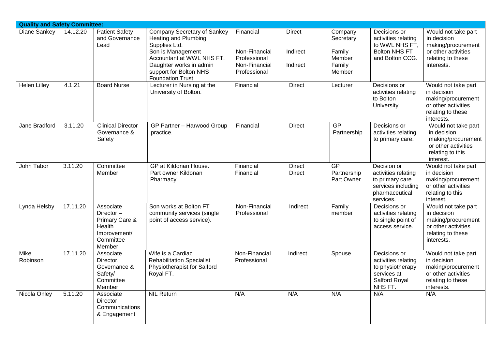| <b>Quality and Safety Committee:</b> |                       |                                                                                              |                                                                                                                                                                                                        |                                                                             |                                       |                                                              |                                                                                                            |                                                                                                                    |
|--------------------------------------|-----------------------|----------------------------------------------------------------------------------------------|--------------------------------------------------------------------------------------------------------------------------------------------------------------------------------------------------------|-----------------------------------------------------------------------------|---------------------------------------|--------------------------------------------------------------|------------------------------------------------------------------------------------------------------------|--------------------------------------------------------------------------------------------------------------------|
| Diane Sankey                         | $\overline{14.12.20}$ | <b>Patient Safety</b><br>and Governance<br>Lead                                              | Company Secretary of Sankey<br>Heating and Plumbing<br>Supplies Ltd.<br>Son is Management<br>Accountant at WWL NHS FT.<br>Daughter works in admin<br>support for Bolton NHS<br><b>Foundation Trust</b> | Financial<br>Non-Financial<br>Professional<br>Non-Financial<br>Professional | <b>Direct</b><br>Indirect<br>Indirect | Company<br>Secretary<br>Family<br>Member<br>Family<br>Member | Decisions or<br>activities relating<br>to WWL NHS FT,<br><b>Bolton NHS FT</b><br>and Bolton CCG.           | Would not take part<br>in decision<br>making/procurement<br>or other activities<br>relating to these<br>interests. |
| <b>Helen Lilley</b>                  | 4.1.21                | <b>Board Nurse</b>                                                                           | Lecturer in Nursing at the<br>University of Bolton.                                                                                                                                                    | Financial                                                                   | <b>Direct</b>                         | Lecturer                                                     | Decisions or<br>activities relating<br>to Bolton<br>University.                                            | Would not take part<br>in decision<br>making/procurement<br>or other activities<br>relating to these<br>interests. |
| Jane Bradford                        | 3.11.20               | <b>Clinical Director</b><br>Governance &<br>Safety                                           | <b>GP Partner - Harwood Group</b><br>practice.                                                                                                                                                         | Financial                                                                   | <b>Direct</b>                         | GP<br>Partnership                                            | Decisions or<br>activities relating<br>to primary care.                                                    | Would not take part<br>in decision<br>making/procurement<br>or other activities<br>relating to this<br>interest.   |
| John Tabor                           | 3.11.20               | Committee<br>Member                                                                          | GP at Kildonan House.<br>Part owner Kildonan<br>Pharmacy.                                                                                                                                              | Financial<br>Financial                                                      | <b>Direct</b><br><b>Direct</b>        | GP<br>Partnership<br>Part Owner                              | Decision or<br>activities relating<br>to primary care<br>services including<br>pharmaceutical<br>services. | Would not take part<br>in decision<br>making/procurement<br>or other activities<br>relating to this<br>interest.   |
| Lynda Helsby                         | 17.11.20              | Associate<br>Director $-$<br>Primary Care &<br>Health<br>Improvement/<br>Committee<br>Member | Son works at Bolton FT<br>community services (single<br>point of access service).                                                                                                                      | Non-Financial<br>Professional                                               | Indirect                              | Family<br>member                                             | Decisions or<br>activities relating<br>to single point of<br>access service.                               | Would not take part<br>in decision<br>making/procurement<br>or other activities<br>relating to these<br>interests. |
| Mike<br>Robinson                     | 17.11.20              | Associate<br>Director,<br>Governance &<br>Safety/<br>Committee<br>Member                     | Wife is a Cardiac<br><b>Rehabilitation Specialist</b><br><b>Physiotherapist for Salford</b><br>Royal FT.                                                                                               | Non-Financial<br>Professional                                               | Indirect                              | Spouse                                                       | Decisions or<br>activities relating<br>to physiotherapy<br>services at<br>Salford Royal<br>NHS FT.         | Would not take part<br>in decision<br>making/procurement<br>or other activities<br>relating to these<br>interests. |
| Nicola Onley                         | 5.11.20               | Associate<br><b>Director</b><br>Communications<br>& Engagement                               | <b>NIL Return</b>                                                                                                                                                                                      | N/A                                                                         | N/A                                   | N/A                                                          | N/A                                                                                                        | N/A                                                                                                                |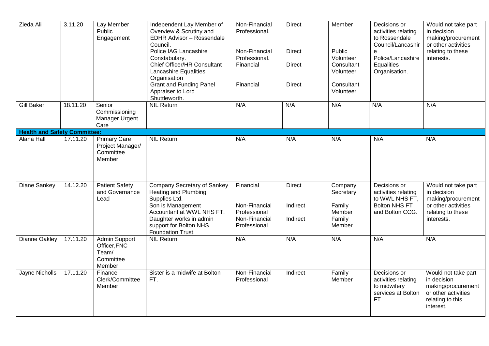| Zieda Ali                           | 3.11.20  | Lay Member<br>Public<br>Engagement                             | Independent Lay Member of<br>Overview & Scrutiny and<br>EDHR Advisor - Rossendale<br>Council.<br>Police IAG Lancashire<br>Constabulary.<br>Chief Officer/HR Consultant<br><b>Lancashire Equalities</b><br>Organisation<br><b>Grant and Funding Panel</b><br>Appraiser to Lord<br>Shuttleworth. | Non-Financial<br>Professional.<br>Non-Financial<br>Professional.<br>Financial<br>Financial | <b>Direct</b><br>Direct<br><b>Direct</b><br><b>Direct</b> | Member<br>Public<br>Volunteer<br>Consultant<br>Volunteer<br>Consultant<br>Volunteer | Decisions or<br>activities relating<br>to Rossendale<br>Council/Lancashir<br>e<br>Police/Lancashire<br>Equalities<br>Organisation. | Would not take part<br>in decision<br>making/procurement<br>or other activities<br>relating to these<br>interests. |
|-------------------------------------|----------|----------------------------------------------------------------|------------------------------------------------------------------------------------------------------------------------------------------------------------------------------------------------------------------------------------------------------------------------------------------------|--------------------------------------------------------------------------------------------|-----------------------------------------------------------|-------------------------------------------------------------------------------------|------------------------------------------------------------------------------------------------------------------------------------|--------------------------------------------------------------------------------------------------------------------|
| <b>Gill Baker</b>                   | 18.11.20 | Senior<br>Commissioning<br>Manager Urgent<br>Care              | <b>NIL Return</b>                                                                                                                                                                                                                                                                              | N/A                                                                                        | N/A                                                       | N/A                                                                                 | N/A                                                                                                                                | N/A                                                                                                                |
| <b>Health and Safety Committee:</b> |          |                                                                |                                                                                                                                                                                                                                                                                                |                                                                                            |                                                           |                                                                                     |                                                                                                                                    |                                                                                                                    |
| Alana Hall                          | 17.11.20 | <b>Primary Care</b><br>Project Manager/<br>Committee<br>Member | <b>NIL Return</b>                                                                                                                                                                                                                                                                              | N/A                                                                                        | N/A                                                       | N/A                                                                                 | N/A                                                                                                                                | N/A                                                                                                                |
| Diane Sankey                        | 14.12.20 | <b>Patient Safety</b><br>and Governance<br>Lead                | Company Secretary of Sankey<br><b>Heating and Plumbing</b><br>Supplies Ltd.<br>Son is Management<br>Accountant at WWL NHS FT.<br>Daughter works in admin<br>support for Bolton NHS<br>Foundation Trust.                                                                                        | Financial<br>Non-Financial<br>Professional<br>Non-Financial<br>Professional                | <b>Direct</b><br>Indirect<br>Indirect                     | Company<br>Secretary<br>Family<br>Member<br>Family<br>Member                        | Decisions or<br>activities relating<br>to WWL NHS FT,<br><b>Bolton NHS FT</b><br>and Bolton CCG.                                   | Would not take part<br>in decision<br>making/procurement<br>or other activities<br>relating to these<br>interests. |
| Dianne Oakley                       | 17.11.20 | Admin Support<br>Officer, FNC<br>Team/<br>Committee<br>Member  | <b>NIL Return</b>                                                                                                                                                                                                                                                                              | N/A                                                                                        | N/A                                                       | N/A                                                                                 | N/A                                                                                                                                | N/A                                                                                                                |
| Jayne Nicholls                      | 17.11.20 | Finance<br>Clerk/Committee<br>Member                           | Sister is a midwife at Bolton<br>FT.                                                                                                                                                                                                                                                           | Non-Financial<br>Professional                                                              | Indirect                                                  | Family<br>Member                                                                    | Decisions or<br>activities relating<br>to midwifery<br>services at Bolton<br>FT.                                                   | Would not take part<br>in decision<br>making/procurement<br>or other activities<br>relating to this<br>interest.   |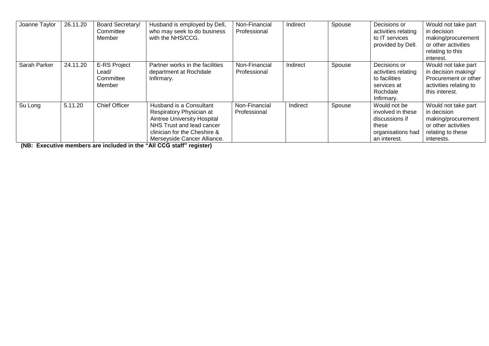| Joanne Taylor | 26.11.20 | Board Secretary/<br>Committee<br>Member             | Husband is employed by Dell,<br>who may seek to do business<br>with the NHS/CCG.                                                                                                      | Non-Financial<br>Professional | Indirect | Spouse | Decisions or<br>activities relating<br>to IT services<br>provided by Dell.                        | Would not take part<br>in decision<br>making/procurement<br>or other activities<br>relating to this<br>interest.   |
|---------------|----------|-----------------------------------------------------|---------------------------------------------------------------------------------------------------------------------------------------------------------------------------------------|-------------------------------|----------|--------|---------------------------------------------------------------------------------------------------|--------------------------------------------------------------------------------------------------------------------|
| Sarah Parker  | 24.11.20 | <b>E-RS Project</b><br>Lead/<br>Committee<br>Member | Partner works in the facilities<br>department at Rochdale<br>Infirmary.                                                                                                               | Non-Financial<br>Professional | Indirect | Spouse | Decisions or<br>activities relating<br>to facilities<br>services at<br>Rochdale<br>Infirmary.     | Would not take part<br>in decision making/<br>Procurement or other<br>activities relating to<br>this interest.     |
| Su Long       | 5.11.20  | <b>Chief Officer</b>                                | Husband is a Consultant<br>Respiratory Physician at<br><b>Aintree University Hospital</b><br>NHS Trust and lead cancer<br>clinician for the Cheshire &<br>Merseyside Cancer Alliance. | Non-Financial<br>Professional | Indirect | Spouse | Would not be<br>involved in these<br>discussions if<br>these<br>organisations had<br>an interest. | Would not take part<br>in decision<br>making/procurement<br>or other activities<br>relating to these<br>interests. |

**(NB: Executive members are included in the "All CCG staff" register)**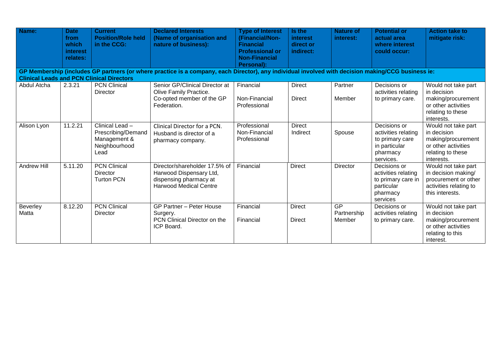| Name:                                                                                                                                                                                                  | <b>Date</b><br>from<br>which<br><i>interest</i><br>relates: | <b>Current</b><br><b>Position/Role held</b><br>in the CCG:                     | <b>Declared Interests</b><br>(Name of organisation and<br>nature of business):                                      | <b>Type of Interest</b><br>(Financial/Non-<br><b>Financial</b><br><b>Professional or</b><br><b>Non-Financial</b><br>Personal): | Is the<br>interest<br>direct or<br>indirect: | <b>Nature of</b><br>interest: | <b>Potential or</b><br>actual area<br>where interest<br>could occur:                             | <b>Action take to</b><br>mitigate risk:                                                                            |  |  |
|--------------------------------------------------------------------------------------------------------------------------------------------------------------------------------------------------------|-------------------------------------------------------------|--------------------------------------------------------------------------------|---------------------------------------------------------------------------------------------------------------------|--------------------------------------------------------------------------------------------------------------------------------|----------------------------------------------|-------------------------------|--------------------------------------------------------------------------------------------------|--------------------------------------------------------------------------------------------------------------------|--|--|
| GP Membership (includes GP partners (or where practice is a company, each Director), any individual involved with decision making/CCG business ie:<br><b>Clinical Leads and PCN Clinical Directors</b> |                                                             |                                                                                |                                                                                                                     |                                                                                                                                |                                              |                               |                                                                                                  |                                                                                                                    |  |  |
| Abdul Atcha                                                                                                                                                                                            | 2.3.21                                                      | <b>PCN Clinical</b><br>Director                                                | Senior GP/Clinical Director at<br>Olive Family Practice.<br>Co-opted member of the GP<br>Federation.                | Financial<br>Non-Financial<br>Professional                                                                                     | <b>Direct</b><br><b>Direct</b>               | Partner<br>Member             | Decisions or<br>activities relating<br>to primary care.                                          | Would not take part<br>in decision<br>making/procurement<br>or other activities<br>relating to these<br>interests. |  |  |
| Alison Lyon                                                                                                                                                                                            | 11.2.21                                                     | Clinical Lead -<br>Prescribing/Demand<br>Management &<br>Neighbourhood<br>Lead | Clinical Director for a PCN.<br>Husband is director of a<br>pharmacy company.                                       | Professional<br>Non-Financial<br>Professional                                                                                  | <b>Direct</b><br>Indirect                    | Spouse                        | Decisions or<br>activities relating<br>to primary care<br>in particular<br>pharmacy<br>services. | Would not take part<br>in decision<br>making/procurement<br>or other activities<br>relating to these<br>interests. |  |  |
| <b>Andrew Hill</b>                                                                                                                                                                                     | 5.11.20                                                     | <b>PCN Clinical</b><br>Director<br><b>Turton PCN</b>                           | Director/shareholder 17.5% of<br>Harwood Dispensary Ltd,<br>dispensing pharmacy at<br><b>Harwood Medical Centre</b> | Financial                                                                                                                      | <b>Direct</b>                                | Director                      | Decisions or<br>activities relating<br>to primary care in<br>particular<br>pharmacy<br>services  | Would not take part<br>in decision making/<br>procurement or other<br>activities relating to<br>this interests.    |  |  |
| Beverley<br>Matta                                                                                                                                                                                      | 8.12.20                                                     | <b>PCN Clinical</b><br>Director                                                | <b>GP Partner - Peter House</b><br>Surgery.<br>PCN Clinical Director on the<br>ICP Board.                           | Financial<br>Financial                                                                                                         | <b>Direct</b><br><b>Direct</b>               | GP<br>Partnership<br>Member   | Decisions or<br>activities relating<br>to primary care.                                          | Would not take part<br>in decision<br>making/procurement<br>or other activities<br>relating to this<br>interest.   |  |  |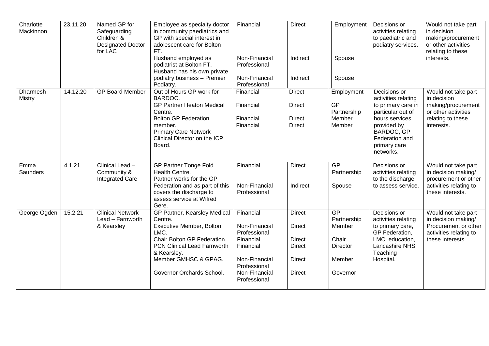| Charlotte<br>Mackinnon           | 23.11.20 | Named GP for<br>Safeguarding<br>Children &<br><b>Designated Doctor</b><br>for LAC | Employee as specialty doctor<br>in community paediatrics and<br>GP with special interest in<br>adolescent care for Bolton<br>FT.<br>Husband employed as<br>podiatrist at Bolton FT.<br>Husband has his own private<br>podiatry business - Premier | Financial<br>Non-Financial<br>Professional<br>Non-Financial | <b>Direct</b><br>Indirect<br>Indirect                            | Employment<br>Spouse<br>Spouse                             | Decisions or<br>activities relating<br>to paediatric and<br>podiatry services.                                                | Would not take part<br>in decision<br>making/procurement<br>or other activities<br>relating to these<br>interests. |
|----------------------------------|----------|-----------------------------------------------------------------------------------|---------------------------------------------------------------------------------------------------------------------------------------------------------------------------------------------------------------------------------------------------|-------------------------------------------------------------|------------------------------------------------------------------|------------------------------------------------------------|-------------------------------------------------------------------------------------------------------------------------------|--------------------------------------------------------------------------------------------------------------------|
|                                  |          |                                                                                   | Podiatry.                                                                                                                                                                                                                                         | Professional                                                |                                                                  |                                                            |                                                                                                                               |                                                                                                                    |
| <b>Dharmesh</b><br><b>Mistry</b> | 14.12.20 | <b>GP Board Member</b>                                                            | Out of Hours GP work for<br>BARDOC.<br><b>GP Partner Heaton Medical</b><br>Centre.<br><b>Bolton GP Federation</b><br>member.<br><b>Primary Care Network</b>                                                                                       | Financial<br>Financial<br>Financial<br>Financial            | <b>Direct</b><br><b>Direct</b><br><b>Direct</b><br><b>Direct</b> | Employment<br><b>GP</b><br>Partnership<br>Member<br>Member | Decisions or<br>activities relating<br>to primary care in<br>particular out of<br>hours services<br>provided by<br>BARDOC, GP | Would not take part<br>in decision<br>making/procurement<br>or other activities<br>relating to these<br>interests. |
|                                  |          |                                                                                   | Clinical Director on the ICP<br>Board.                                                                                                                                                                                                            |                                                             |                                                                  |                                                            | Federation and<br>primary care<br>networks.                                                                                   |                                                                                                                    |
| Emma<br>Saunders                 | 4.1.21   | Clinical Lead -<br>Community &<br><b>Integrated Care</b>                          | <b>GP Partner Tonge Fold</b><br>Health Centre.<br>Partner works for the GP<br>Federation and as part of this                                                                                                                                      | Financial<br>Non-Financial                                  | <b>Direct</b><br>Indirect                                        | GP<br>Partnership<br>Spouse                                | Decisions or<br>activities relating<br>to the discharge<br>to assess service.                                                 | Would not take part<br>in decision making/<br>procurement or other<br>activities relating to                       |
|                                  |          |                                                                                   | covers the discharge to<br>assess service at Wifred<br>Gere.                                                                                                                                                                                      | Professional                                                |                                                                  |                                                            |                                                                                                                               | these interests.                                                                                                   |
| George Ogden                     | 15.2.21  | <b>Clinical Network</b><br>Lead - Farnworth<br>& Kearsley                         | GP Partner, Kearsley Medical<br>Centre.<br><b>Executive Member, Bolton</b>                                                                                                                                                                        | Financial<br>Non-Financial                                  | <b>Direct</b><br><b>Direct</b>                                   | GP<br>Partnership<br>Member                                | Decisions or<br>activities relating<br>to primary care,                                                                       | Would not take part<br>in decision making/<br>Procurement or other                                                 |
|                                  |          |                                                                                   | LMC.<br>Chair Bolton GP Federation.<br>PCN Clinical Lead Farnworth<br>& Kearsley.                                                                                                                                                                 | Professional<br>Financial<br>Financial                      | <b>Direct</b><br><b>Direct</b>                                   | Chair<br>Director                                          | GP Federation,<br>LMC, education,<br>Lancashire NHS<br>Teaching                                                               | activities relating to<br>these interests.                                                                         |
|                                  |          |                                                                                   | Member GMHSC & GPAG.                                                                                                                                                                                                                              | Non-Financial<br>Professional                               | <b>Direct</b>                                                    | Member                                                     | Hospital.                                                                                                                     |                                                                                                                    |
|                                  |          |                                                                                   | Governor Orchards School.                                                                                                                                                                                                                         | Non-Financial<br>Professional                               | <b>Direct</b>                                                    | Governor                                                   |                                                                                                                               |                                                                                                                    |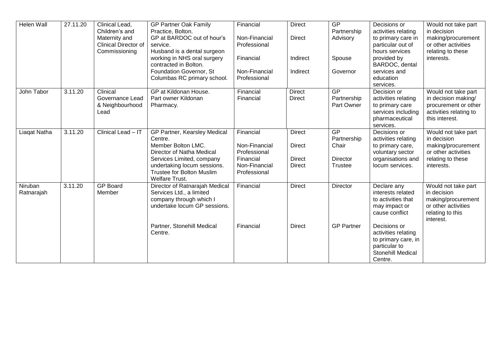| Helen Wall   | 27.11.20 | Clinical Lead,              | <b>GP Partner Oak Family</b>                               | Financial     | <b>Direct</b> | GP                | Decisions or                     | Would not take part                |
|--------------|----------|-----------------------------|------------------------------------------------------------|---------------|---------------|-------------------|----------------------------------|------------------------------------|
|              |          | Children's and              | Practice, Bolton.                                          |               |               | Partnership       | activities relating              | in decision                        |
|              |          | Maternity and               | GP at BARDOC out of hour's                                 | Non-Financial | <b>Direct</b> | Advisory          | to primary care in               | making/procurement                 |
|              |          | <b>Clinical Director of</b> | service.                                                   | Professional  |               |                   | particular out of                | or other activities                |
|              |          | Commissioning               | Husband is a dental surgeon                                |               |               |                   | hours services                   | relating to these                  |
|              |          |                             | working in NHS oral surgery<br>contracted in Bolton.       | Financial     | Indirect      | Spouse            | provided by<br>BARDOC, dental    | interests.                         |
|              |          |                             | Foundation Governor, St                                    | Non-Financial | Indirect      | Governor          | services and                     |                                    |
|              |          |                             | Columbas RC primary school.                                | Professional  |               |                   | education                        |                                    |
|              |          |                             |                                                            |               |               |                   | services.                        |                                    |
| John Tabor   | 3.11.20  | Clinical                    | GP at Kildonan House.                                      | Financial     | Direct        | <b>GP</b>         | Decision or                      | Would not take part                |
|              |          | Governance Lead             | Part owner Kildonan                                        | Financial     | <b>Direct</b> | Partnership       | activities relating              | in decision making/                |
|              |          | & Neighbourhood             | Pharmacy.                                                  |               |               | Part Owner        | to primary care                  | procurement or other               |
|              |          | Lead                        |                                                            |               |               |                   | services including               | activities relating to             |
|              |          |                             |                                                            |               |               |                   | pharmaceutical                   | this interest.                     |
|              |          |                             |                                                            |               |               |                   | services.                        |                                    |
| Liagat Natha | 3.11.20  | Clinical Lead - IT          | GP Partner, Kearsley Medical                               | Financial     | <b>Direct</b> | <b>GP</b>         | Decisions or                     | Would not take part                |
|              |          |                             | Centre.                                                    |               |               | Partnership       | activities relating              | in decision                        |
|              |          |                             | Member Bolton LMC.                                         | Non-Financial | <b>Direct</b> | Chair             | to primary care,                 | making/procurement                 |
|              |          |                             | Director of Natha Medical                                  | Professional  |               |                   | voluntary sector                 | or other activities                |
|              |          |                             | Services Limited, company                                  | Financial     | <b>Direct</b> | <b>Director</b>   | organisations and                | relating to these                  |
|              |          |                             | undertaking locum sessions.                                | Non-Financial | <b>Direct</b> | Trustee           | locum services.                  | interests.                         |
|              |          |                             | <b>Trustee for Bolton Muslim</b>                           | Professional  |               |                   |                                  |                                    |
| Niruban      |          | <b>GP Board</b>             | <b>Welfare Trust.</b>                                      |               | <b>Direct</b> |                   |                                  |                                    |
| Ratnarajah   | 3.11.20  | Member                      | Director of Ratnarajah Medical<br>Services Ltd., a limited | Financial     |               | Director          | Declare any<br>interests related | Would not take part<br>in decision |
|              |          |                             | company through which I                                    |               |               |                   | to activities that               | making/procurement                 |
|              |          |                             | undertake locum GP sessions.                               |               |               |                   | may impact or                    | or other activities                |
|              |          |                             |                                                            |               |               |                   | cause conflict                   | relating to this                   |
|              |          |                             |                                                            |               |               |                   |                                  | interest.                          |
|              |          |                             | Partner, Stonehill Medical                                 | Financial     | <b>Direct</b> | <b>GP Partner</b> | Decisions or                     |                                    |
|              |          |                             | Centre.                                                    |               |               |                   | activities relating              |                                    |
|              |          |                             |                                                            |               |               |                   | to primary care, in              |                                    |
|              |          |                             |                                                            |               |               |                   | particular to                    |                                    |
|              |          |                             |                                                            |               |               |                   | Stonehill Medical                |                                    |
|              |          |                             |                                                            |               |               |                   | Centre.                          |                                    |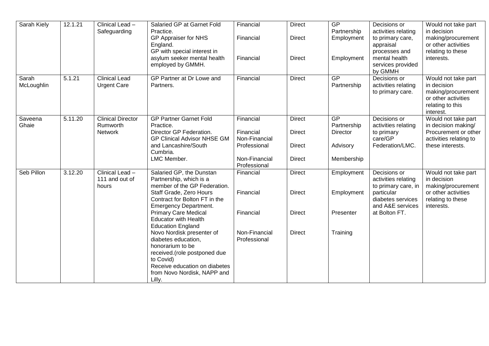| Sarah Kiely         | 12.1.21              | Clinical Lead -                            | Salaried GP at Garnet Fold                                                                                                                                                                  | Financial                     | <b>Direct</b> | GP                        | Decisions or                                                          | Would not take part                                                                                              |
|---------------------|----------------------|--------------------------------------------|---------------------------------------------------------------------------------------------------------------------------------------------------------------------------------------------|-------------------------------|---------------|---------------------------|-----------------------------------------------------------------------|------------------------------------------------------------------------------------------------------------------|
|                     |                      | Safeguarding                               | Practice.<br>GP Appraiser for NHS<br>England.<br>GP with special interest in                                                                                                                | Financial                     | <b>Direct</b> | Partnership<br>Employment | activities relating<br>to primary care,<br>appraisal<br>processes and | in decision<br>making/procurement<br>or other activities<br>relating to these                                    |
|                     |                      |                                            | asylum seeker mental health<br>employed by GMMH.                                                                                                                                            | Financial                     | <b>Direct</b> | Employment                | mental health<br>services provided<br>by GMMH                         | interests.                                                                                                       |
| Sarah<br>McLoughlin | 5.1.21               | <b>Clinical Lead</b><br><b>Urgent Care</b> | GP Partner at Dr Lowe and<br>Partners.                                                                                                                                                      | Financial                     | <b>Direct</b> | GP<br>Partnership         | Decisions or<br>activities relating<br>to primary care.               | Would not take part<br>in decision<br>making/procurement<br>or other activities<br>relating to this<br>interest. |
| Saveena<br>Ghaie    | $\overline{5.11.20}$ | <b>Clinical Director</b><br>Rumworth       | <b>GP Partner Garnet Fold</b><br>Practice.                                                                                                                                                  | Financial                     | <b>Direct</b> | GP<br>Partnership         | Decisions or<br>activities relating                                   | Would not take part<br>in decision making/                                                                       |
|                     |                      | <b>Network</b>                             | Director GP Federation.<br><b>GP Clinical Advisor NHSE GM</b>                                                                                                                               | Financial<br>Non-Financial    | <b>Direct</b> | <b>Director</b>           | to primary<br>care/GP                                                 | Procurement or other<br>activities relating to                                                                   |
|                     |                      |                                            | and Lancashire/South<br>Cumbria.                                                                                                                                                            | Professional                  | <b>Direct</b> | Advisory                  | Federation/LMC.                                                       | these interests.                                                                                                 |
|                     |                      |                                            | LMC Member.                                                                                                                                                                                 | Non-Financial<br>Professional | <b>Direct</b> | Membership                |                                                                       |                                                                                                                  |
| Seb Pillon          | 3.12.20              | Clinical Lead -<br>111 and out of<br>hours | Salaried GP, the Dunstan<br>Partnership, which is a<br>member of the GP Federation.                                                                                                         | Financial                     | <b>Direct</b> | Employment                | Decisions or<br>activities relating<br>to primary care, in            | Would not take part<br>in decision<br>making/procurement                                                         |
|                     |                      |                                            | Staff Grade, Zero Hours<br>Contract for Bolton FT in the                                                                                                                                    | Financial                     | <b>Direct</b> | Employment                | particular<br>diabetes services<br>and A&E services                   | or other activities<br>relating to these                                                                         |
|                     |                      |                                            | <b>Emergency Department.</b><br><b>Primary Care Medical</b><br><b>Educator with Health</b><br><b>Education England</b>                                                                      | Financial                     | <b>Direct</b> | Presenter                 | at Bolton FT.                                                         | interests.                                                                                                       |
|                     |                      |                                            | Novo Nordisk presenter of<br>diabetes education,<br>honorarium to be<br>received.(role postponed due<br>to Covid)<br>Receive education on diabetes<br>from Novo Nordisk, NAPP and<br>Lilly. | Non-Financial<br>Professional | <b>Direct</b> | Training                  |                                                                       |                                                                                                                  |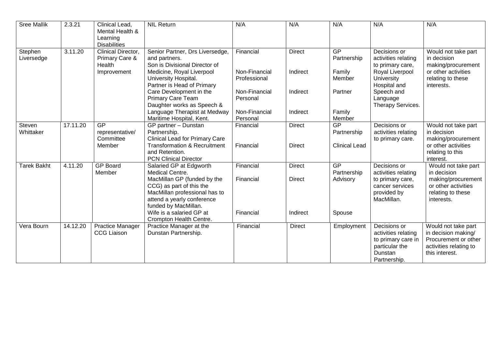| <b>Sree Mallik</b>    | 2.3.21   | Clinical Lead,<br>Mental Health &<br>Learning                         | <b>NIL Return</b>                                                                                                                              | N/A                           | N/A           | N/A                  | N/A                                                                                                    | N/A                                                                                                            |
|-----------------------|----------|-----------------------------------------------------------------------|------------------------------------------------------------------------------------------------------------------------------------------------|-------------------------------|---------------|----------------------|--------------------------------------------------------------------------------------------------------|----------------------------------------------------------------------------------------------------------------|
| Stephen<br>Liversedge | 3.11.20  | <b>Disabilities</b><br>Clinical Director,<br>Primary Care &<br>Health | Senior Partner, Drs Liversedge,<br>and partners.<br>Son is Divisional Director of                                                              | Financial                     | <b>Direct</b> | GP<br>Partnership    | Decisions or<br>activities relating<br>to primary care,                                                | Would not take part<br>in decision<br>making/procurement                                                       |
|                       |          | Improvement                                                           | Medicine, Royal Liverpool<br>University Hospital.<br>Partner is Head of Primary                                                                | Non-Financial<br>Professional | Indirect      | Family<br>Member     | Royal Liverpool<br>University<br>Hospital and                                                          | or other activities<br>relating to these<br>interests.                                                         |
|                       |          |                                                                       | Care Development in the<br>Primary Care Team<br>Daughter works as Speech &                                                                     | Non-Financial<br>Personal     | Indirect      | Partner              | Speech and<br>Language<br>Therapy Services.                                                            |                                                                                                                |
|                       |          |                                                                       | Language Therapist at Medway<br>Maritime Hospital, Kent.                                                                                       | Non-Financial<br>Personal     | Indirect      | Family<br>Member     |                                                                                                        |                                                                                                                |
| Steven<br>Whittaker   | 17.11.20 | GP<br>representative/<br>Committee                                    | GP partner - Dunstan<br>Partnership.<br><b>Clinical Lead for Primary Care</b>                                                                  | Financial                     | <b>Direct</b> | GP<br>Partnership    | Decisions or<br>activities relating<br>to primary care.                                                | Would not take part<br>in decision<br>making/procurement                                                       |
|                       |          | Member                                                                | <b>Transformation &amp; Recruitment</b><br>and Retention.<br><b>PCN Clinical Director</b>                                                      | Financial                     | <b>Direct</b> | <b>Clinical Lead</b> |                                                                                                        | or other activities<br>relating to this<br>interest.                                                           |
| <b>Tarek Bakht</b>    | 4.11.20  | <b>GP Board</b><br>Member                                             | Salaried GP at Edgworth<br>Medical Centre.                                                                                                     | Financial                     | <b>Direct</b> | GP<br>Partnership    | Decisions or<br>activities relating                                                                    | Would not take part<br>in decision                                                                             |
|                       |          |                                                                       | MacMillan GP (funded by the<br>CCG) as part of this the<br>MacMillan professional has to<br>attend a yearly conference<br>funded by MacMillan. | Financial                     | <b>Direct</b> | Advisory             | to primary care,<br>cancer services<br>provided by<br>MacMillan.                                       | making/procurement<br>or other activities<br>relating to these<br>interests.                                   |
|                       |          |                                                                       | Wife is a salaried GP at<br>Crompton Health Centre.                                                                                            | Financial                     | Indirect      | Spouse               |                                                                                                        |                                                                                                                |
| Vera Bourn            | 14.12.20 | Practice Manager<br><b>CCG Liaison</b>                                | Practice Manager at the<br>Dunstan Partnership.                                                                                                | Financial                     | <b>Direct</b> | Employment           | Decisions or<br>activities relating<br>to primary care in<br>particular the<br>Dunstan<br>Partnership. | Would not take part<br>in decision making/<br>Procurement or other<br>activities relating to<br>this interest. |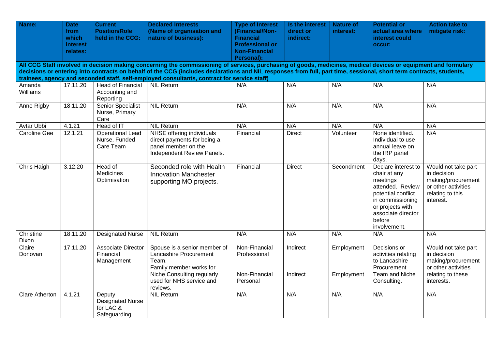| Name:                                                                                                                                                                                                                                                                                                                                 | <b>Date</b><br>from<br>which<br><b>interest</b><br>relates: | <b>Current</b><br><b>Position/Role</b><br>held in the CCG:     | <b>Declared Interests</b><br>(Name of organisation and<br>nature of business):                                                                                   | <b>Type of Interest</b><br>(Financial/Non-<br><b>Financial</b><br><b>Professional or</b><br><b>Non-Financial</b><br>Personal): | Is the interest<br>direct or<br>indirect: | <b>Nature of</b><br>interest: | <b>Potential or</b><br>actual area where<br>interest could<br>occur:                                                                                                              | <b>Action take to</b><br>mitigate risk:                                                                            |  |  |
|---------------------------------------------------------------------------------------------------------------------------------------------------------------------------------------------------------------------------------------------------------------------------------------------------------------------------------------|-------------------------------------------------------------|----------------------------------------------------------------|------------------------------------------------------------------------------------------------------------------------------------------------------------------|--------------------------------------------------------------------------------------------------------------------------------|-------------------------------------------|-------------------------------|-----------------------------------------------------------------------------------------------------------------------------------------------------------------------------------|--------------------------------------------------------------------------------------------------------------------|--|--|
| All CCG Staff involved in decision making concerning the commissioning of services, purchasing of goods, medicines, medical devices or equipment and formulary<br>decisions or entering into contracts on behalf of the CCG (includes declarations and NIL responses from full, part time, sessional, short term contracts, students, |                                                             |                                                                |                                                                                                                                                                  |                                                                                                                                |                                           |                               |                                                                                                                                                                                   |                                                                                                                    |  |  |
|                                                                                                                                                                                                                                                                                                                                       |                                                             |                                                                | trainees, agency and seconded staff, self-employed consultants, contract for service staff)                                                                      |                                                                                                                                |                                           |                               |                                                                                                                                                                                   |                                                                                                                    |  |  |
| Amanda<br>Williams                                                                                                                                                                                                                                                                                                                    | 17.11.20                                                    | <b>Head of Financial</b><br>Accounting and<br>Reporting        | <b>NIL Return</b>                                                                                                                                                | N/A                                                                                                                            | N/A                                       | N/A                           | N/A                                                                                                                                                                               | N/A                                                                                                                |  |  |
| Anne Rigby                                                                                                                                                                                                                                                                                                                            | 18.11.20                                                    | <b>Senior Specialist</b><br>Nurse, Primary<br>Care             | <b>NIL Return</b>                                                                                                                                                | N/A                                                                                                                            | N/A                                       | N/A                           | N/A                                                                                                                                                                               | N/A                                                                                                                |  |  |
| Avtar Ubbi                                                                                                                                                                                                                                                                                                                            | 4.1.21                                                      | Head of IT                                                     | <b>NIL Return</b>                                                                                                                                                | N/A                                                                                                                            | N/A                                       | N/A                           | N/A                                                                                                                                                                               | N/A                                                                                                                |  |  |
| <b>Caroline Gee</b>                                                                                                                                                                                                                                                                                                                   | 12.1.21                                                     | <b>Operational Lead</b><br>Nurse, Funded<br>Care Team          | NHSE offering individuals<br>direct payments for being a<br>panel member on the<br>Independent Review Panels.                                                    | Financial                                                                                                                      | <b>Direct</b>                             | Volunteer                     | None identified.<br>Individual to use<br>annual leave on<br>the IRP panel<br>days.                                                                                                | N/A                                                                                                                |  |  |
| Chris Haigh                                                                                                                                                                                                                                                                                                                           | 3.12.20                                                     | Head of<br><b>Medicines</b><br>Optimisation                    | Seconded role with Health<br><b>Innovation Manchester</b><br>supporting MO projects.                                                                             | Financial                                                                                                                      | <b>Direct</b>                             | Secondment                    | Declare interest to<br>chair at any<br>meetings<br>attended. Review<br>potential conflict<br>in commissioning<br>or projects with<br>associate director<br>before<br>involvement. | Would not take part<br>in decision<br>making/procurement<br>or other activities<br>relating to this<br>interest.   |  |  |
| Christine<br>Dixon                                                                                                                                                                                                                                                                                                                    | 18.11.20                                                    | <b>Designated Nurse</b>                                        | <b>NIL Return</b>                                                                                                                                                | N/A                                                                                                                            | N/A                                       | N/A                           | N/A                                                                                                                                                                               | N/A                                                                                                                |  |  |
| Claire<br>Donovan                                                                                                                                                                                                                                                                                                                     | 17.11.20                                                    | Associate Director<br>Financial<br>Management                  | Spouse is a senior member of<br>Lancashire Procurement<br>Team.<br>Family member works for<br>Niche Consulting regularly<br>used for NHS service and<br>reviews. | Non-Financial<br>Professional<br>Non-Financial<br>Personal                                                                     | Indirect<br>Indirect                      | Employment<br>Employment      | Decisions or<br>activities relating<br>to Lancashire<br>Procurement<br>Team and Niche<br>Consulting.                                                                              | Would not take part<br>in decision<br>making/procurement<br>or other activities<br>relating to these<br>interests. |  |  |
| Clare Atherton                                                                                                                                                                                                                                                                                                                        | 4.1.21                                                      | Deputy<br><b>Designated Nurse</b><br>for LAC &<br>Safeguarding | <b>NIL Return</b>                                                                                                                                                | N/A                                                                                                                            | N/A                                       | N/A                           | N/A                                                                                                                                                                               | N/A                                                                                                                |  |  |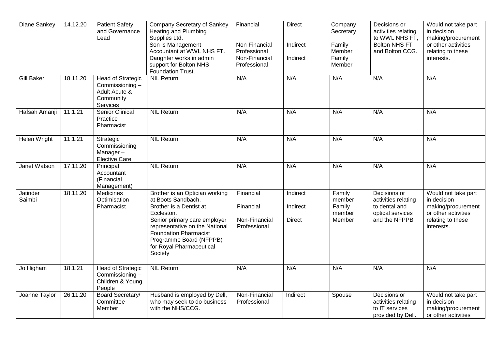| Diane Sankey       | 14.12.20 | <b>Patient Safety</b><br>and Governance<br>Lead                               | Company Secretary of Sankey<br>Heating and Plumbing<br>Supplies Ltd.<br>Son is Management<br>Accountant at WWL NHS FT.<br>Daughter works in admin<br>support for Bolton NHS<br>Foundation Trust.                                                                  | Financial<br>Non-Financial<br>Professional<br>Non-Financial<br>Professional | <b>Direct</b><br>Indirect<br>Indirect | Company<br>Secretary<br>Family<br>Member<br>Family<br>Member | Decisions or<br>activities relating<br>to WWL NHS FT,<br><b>Bolton NHS FT</b><br>and Bolton CCG. | Would not take part<br>in decision<br>making/procurement<br>or other activities<br>relating to these<br>interests. |
|--------------------|----------|-------------------------------------------------------------------------------|-------------------------------------------------------------------------------------------------------------------------------------------------------------------------------------------------------------------------------------------------------------------|-----------------------------------------------------------------------------|---------------------------------------|--------------------------------------------------------------|--------------------------------------------------------------------------------------------------|--------------------------------------------------------------------------------------------------------------------|
| <b>Gill Baker</b>  | 18.11.20 | Head of Strategic<br>Commissioning-<br>Adult Acute &<br>Community<br>Services | <b>NIL Return</b>                                                                                                                                                                                                                                                 | N/A                                                                         | N/A                                   | N/A                                                          | N/A                                                                                              | N/A                                                                                                                |
| Hafsah Amanji      | 11.1.21  | Senior Clinical<br>Practice<br>Pharmacist                                     | <b>NIL Return</b>                                                                                                                                                                                                                                                 | N/A                                                                         | N/A                                   | N/A                                                          | N/A                                                                                              | N/A                                                                                                                |
| Helen Wright       | 11.1.21  | Strategic<br>Commissioning<br>Manager-<br><b>Elective Care</b>                | <b>NIL Return</b>                                                                                                                                                                                                                                                 | N/A                                                                         | N/A                                   | N/A                                                          | N/A                                                                                              | N/A                                                                                                                |
| Janet Watson       | 17.11.20 | Principal<br>Accountant<br>(Financial<br>Management)                          | <b>NIL Return</b>                                                                                                                                                                                                                                                 | N/A                                                                         | N/A                                   | N/A                                                          | N/A                                                                                              | N/A                                                                                                                |
| Jatinder<br>Saimbi | 18.11.20 | Medicines<br>Optimisation<br>Pharmacist                                       | Brother is an Optician working<br>at Boots Sandbach.<br>Brother is a Dentist at<br>Eccleston.<br>Senior primary care employer<br>representative on the National<br><b>Foundation Pharmacist</b><br>Programme Board (NFPPB)<br>for Royal Pharmaceutical<br>Society | Financial<br>Financial<br>Non-Financial<br>Professional                     | Indirect<br>Indirect<br>Direct        | Family<br>member<br>Family<br>member<br>Member               | Decisions or<br>activities relating<br>to dental and<br>optical services<br>and the NFPPB        | Would not take part<br>in decision<br>making/procurement<br>or other activities<br>relating to these<br>interests. |
| Jo Higham          | 18.1.21  | <b>Head of Strategic</b><br>Commissioning-<br>Children & Young<br>People      | <b>NIL Return</b>                                                                                                                                                                                                                                                 | N/A                                                                         | N/A                                   | N/A                                                          | N/A                                                                                              | N/A                                                                                                                |
| Joanne Taylor      | 26.11.20 | <b>Board Secretary/</b><br>Committee<br>Member                                | Husband is employed by Dell,<br>who may seek to do business<br>with the NHS/CCG.                                                                                                                                                                                  | Non-Financial<br>Professional                                               | Indirect                              | Spouse                                                       | Decisions or<br>activities relating<br>to IT services<br>provided by Dell.                       | Would not take part<br>in decision<br>making/procurement<br>or other activities                                    |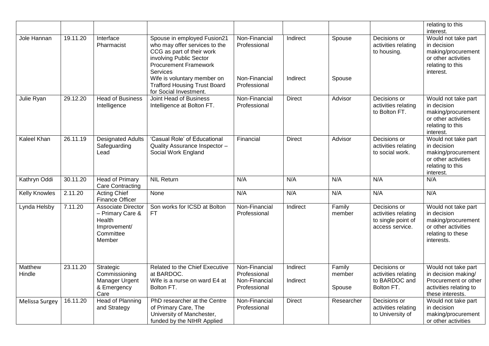|                          |          |                                                                                                |                                                                                                                                                                                                                                                                  |                                                                |                      |                            |                                                                              | relating to this<br>interest.                                                                                      |
|--------------------------|----------|------------------------------------------------------------------------------------------------|------------------------------------------------------------------------------------------------------------------------------------------------------------------------------------------------------------------------------------------------------------------|----------------------------------------------------------------|----------------------|----------------------------|------------------------------------------------------------------------------|--------------------------------------------------------------------------------------------------------------------|
| Jole Hannan              | 19.11.20 | Interface<br>Pharmacist                                                                        | Spouse in employed Fusion21<br>who may offer services to the<br>CCG as part of their work<br>involving Public Sector<br><b>Procurement Framework</b><br>Services<br>Wife is voluntary member on<br><b>Trafford Housing Trust Board</b><br>for Social Investment. | Non-Financial<br>Professional<br>Non-Financial<br>Professional | Indirect<br>Indirect | Spouse<br>Spouse           | Decisions or<br>activities relating<br>to housing.                           | Would not take part<br>in decision<br>making/procurement<br>or other activities<br>relating to this<br>interest.   |
| Julie Ryan               | 29.12.20 | <b>Head of Business</b><br>Intelligence                                                        | <b>Joint Head of Business</b><br>Intelligence at Bolton FT.                                                                                                                                                                                                      | Non-Financial<br>Professional                                  | <b>Direct</b>        | Advisor                    | Decisions or<br>activities relating<br>to Bolton FT.                         | Would not take part<br>in decision<br>making/procurement<br>or other activities<br>relating to this<br>interest.   |
| Kaleel Khan              | 26.11.19 | <b>Designated Adults</b><br>Safeguarding<br>Lead                                               | 'Casual Role' of Educational<br>Quality Assurance Inspector -<br>Social Work England                                                                                                                                                                             | Financial                                                      | <b>Direct</b>        | Advisor                    | Decisions or<br>activities relating<br>to social work.                       | Would not take part<br>in decision<br>making/procurement<br>or other activities<br>relating to this<br>interest.   |
| Kathryn Oddi             | 30.11.20 | <b>Head of Primary</b><br><b>Care Contracting</b>                                              | <b>NIL Return</b>                                                                                                                                                                                                                                                | N/A                                                            | N/A                  | N/A                        | N/A                                                                          | N/A                                                                                                                |
| <b>Kelly Knowles</b>     | 2.11.20  | Acting Chief<br><b>Finance Officer</b>                                                         | None                                                                                                                                                                                                                                                             | N/A                                                            | N/A                  | N/A                        | N/A                                                                          | N/A                                                                                                                |
| Lynda Helsby             | 7.11.20  | <b>Associate Director</b><br>- Primary Care &<br>Health<br>Improvement/<br>Committee<br>Member | Son works for ICSD at Bolton<br><b>FT</b>                                                                                                                                                                                                                        | Non-Financial<br>Professional                                  | Indirect             | Family<br>member           | Decisions or<br>activities relating<br>to single point of<br>access service. | Would not take part<br>in decision<br>making/procurement<br>or other activities<br>relating to these<br>interests. |
| <b>Matthew</b><br>Hindle | 23.11.20 | Strategic<br>Commissioning<br>Manager Urgent<br>& Emergency<br>Care                            | Related to the Chief Executive<br>at BARDOC.<br>Wife is a nurse on ward E4 at<br>Bolton FT.                                                                                                                                                                      | Non-Financial<br>Professional<br>Non-Financial<br>Professional | Indirect<br>Indirect | Family<br>member<br>Spouse | Decisions or<br>activities relating<br>to BARDOC and<br>Bolton FT.           | Would not take part<br>in decision making/<br>Procurement or other<br>activities relating to<br>these interests.   |
| Melissa Surgey           | 16.11.20 | <b>Head of Planning</b><br>and Strategy                                                        | PhD researcher at the Centre<br>of Primary Care, The<br>University of Manchester,<br>funded by the NIHR Applied                                                                                                                                                  | Non-Financial<br>Professional                                  | <b>Direct</b>        | Researcher                 | Decisions or<br>activities relating<br>to University of                      | Would not take part<br>in decision<br>making/procurement<br>or other activities                                    |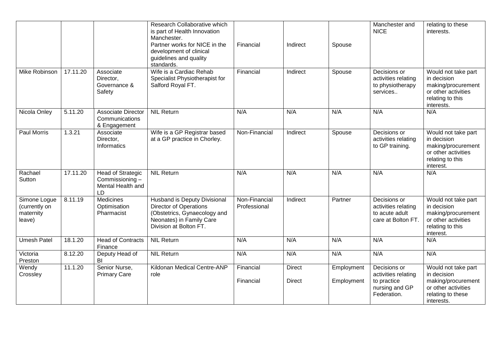|                                                      |          |                                                                       | Research Collaborative which<br>is part of Health Innovation<br>Manchester.<br>Partner works for NICE in the<br>development of clinical<br>guidelines and quality<br>standards. | Financial                     | Indirect                       | Spouse                   | Manchester and<br><b>NICE</b>                                                       | relating to these<br>interests.                                                                                    |
|------------------------------------------------------|----------|-----------------------------------------------------------------------|---------------------------------------------------------------------------------------------------------------------------------------------------------------------------------|-------------------------------|--------------------------------|--------------------------|-------------------------------------------------------------------------------------|--------------------------------------------------------------------------------------------------------------------|
| <b>Mike Robinson</b>                                 | 17.11.20 | Associate<br>Director,<br>Governance &<br>Safety                      | Wife is a Cardiac Rehab<br>Specialist Physiotherapist for<br>Salford Royal FT.                                                                                                  | Financial                     | Indirect                       | Spouse                   | Decisions or<br>activities relating<br>to physiotherapy<br>services                 | Would not take part<br>in decision<br>making/procurement<br>or other activities<br>relating to this<br>interests.  |
| Nicola Onley                                         | 5.11.20  | <b>Associate Director</b><br>Communications<br>& Engagement           | <b>NIL Return</b>                                                                                                                                                               | N/A                           | N/A                            | N/A                      | N/A                                                                                 | N/A                                                                                                                |
| <b>Paul Morris</b>                                   | 1.3.21   | Associate<br>Director,<br>Informatics                                 | Wife is a GP Registrar based<br>at a GP practice in Chorley.                                                                                                                    | Non-Financial                 | Indirect                       | Spouse                   | Decisions or<br>activities relating<br>to GP training.                              | Would not take part<br>in decision<br>making/procurement<br>or other activities<br>relating to this<br>interest.   |
| Rachael<br>Sutton                                    | 17.11.20 | <b>Head of Strategic</b><br>Commissioning-<br>Mental Health and<br>LD | <b>NIL Return</b>                                                                                                                                                               | N/A                           | N/A                            | N/A                      | N/A                                                                                 | N/A                                                                                                                |
| Simone Logue<br>(currently on<br>maternity<br>leave) | 8.11.19  | <b>Medicines</b><br>Optimisation<br>Pharmacist                        | <b>Husband is Deputy Divisional</b><br><b>Director of Operations</b><br>(Obstetrics, Gynaecology and<br>Neonates) in Family Care<br>Division at Bolton FT.                      | Non-Financial<br>Professional | Indirect                       | Partner                  | Decisions or<br>activities relating<br>to acute adult<br>care at Bolton FT.         | Would not take part<br>in decision<br>making/procurement<br>or other activities<br>relating to this<br>interest.   |
| <b>Umesh Patel</b>                                   | 18.1.20  | <b>Head of Contracts</b><br>Finance                                   | <b>NIL Return</b>                                                                                                                                                               | N/A                           | N/A                            | N/A                      | N/A                                                                                 | N/A                                                                                                                |
| Victoria<br>Preston                                  | 8.12.20  | Deputy Head of<br>BI                                                  | <b>NIL Return</b>                                                                                                                                                               | N/A                           | N/A                            | N/A                      | N/A                                                                                 | N/A                                                                                                                |
| Wendy<br>Crossley                                    | 11.1.20  | Senior Nurse,<br><b>Primary Care</b>                                  | Kildonan Medical Centre-ANP<br>role                                                                                                                                             | Financial<br>Financial        | <b>Direct</b><br><b>Direct</b> | Employment<br>Employment | Decisions or<br>activities relating<br>to practice<br>nursing and GP<br>Federation. | Would not take part<br>in decision<br>making/procurement<br>or other activities<br>relating to these<br>interests. |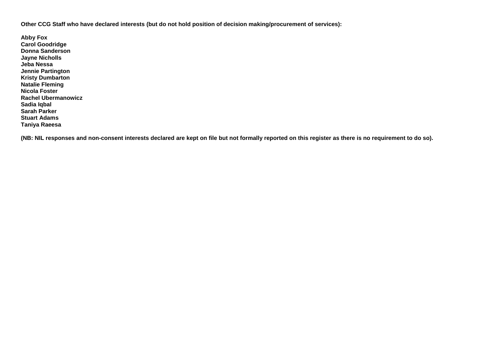**Other CCG Staff who have declared interests (but do not hold position of decision making/procurement of services):**

**Abby Fox Carol Goodridge Donna Sanderson Jayne Nicholls Jeba Nessa Jennie Partington Kristy Dumbarton Natalie Fleming Nicola Foster Rachel Ubermanowicz Sadia Iqbal Sarah Parker Stuart Adams Taniya Raeesa**

**(NB: NIL responses and non-consent interests declared are kept on file but not formally reported on this register as there is no requirement to do so).**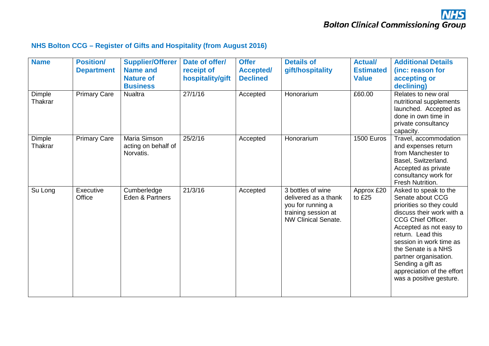#### **NHS Bolton CCG – Register of Gifts and Hospitality (from August 2016)**

| <b>Name</b>       | <b>Position/</b><br><b>Department</b> | <b>Supplier/Offerer</b><br><b>Name and</b><br><b>Nature of</b><br><b>Business</b> | Date of offer/<br>receipt of<br>hospitality/gift | <b>Offer</b><br><b>Accepted/</b><br><b>Declined</b> | <b>Details of</b><br>gift/hospitality                                                                               | <b>Actual/</b><br><b>Estimated</b><br><b>Value</b> | <b>Additional Details</b><br>(inc: reason for<br>accepting or<br>declining)                                                                                                                                                                                                                                                       |
|-------------------|---------------------------------------|-----------------------------------------------------------------------------------|--------------------------------------------------|-----------------------------------------------------|---------------------------------------------------------------------------------------------------------------------|----------------------------------------------------|-----------------------------------------------------------------------------------------------------------------------------------------------------------------------------------------------------------------------------------------------------------------------------------------------------------------------------------|
| Dimple<br>Thakrar | <b>Primary Care</b>                   | <b>Nualtra</b>                                                                    | 27/1/16                                          | Accepted                                            | Honorarium                                                                                                          | £60.00                                             | Relates to new oral<br>nutritional supplements<br>launched. Accepted as<br>done in own time in<br>private consultancy<br>capacity.                                                                                                                                                                                                |
| Dimple<br>Thakrar | <b>Primary Care</b>                   | Maria Simson<br>acting on behalf of<br>Norvatis.                                  | 25/2/16                                          | Accepted                                            | Honorarium                                                                                                          | 1500 Euros                                         | Travel, accommodation<br>and expenses return<br>from Manchester to<br>Basel, Switzerland.<br>Accepted as private<br>consultancy work for<br>Fresh Nutrition.                                                                                                                                                                      |
| Su Long           | Executive<br>Office                   | Cumberledge<br>Eden & Partners                                                    | 21/3/16                                          | Accepted                                            | 3 bottles of wine<br>delivered as a thank<br>you for running a<br>training session at<br><b>NW Clinical Senate.</b> | Approx £20<br>to £25                               | Asked to speak to the<br>Senate about CCG<br>priorities so they could<br>discuss their work with a<br>CCG Chief Officer.<br>Accepted as not easy to<br>return. Lead this<br>session in work time as<br>the Senate is a NHS<br>partner organisation.<br>Sending a gift as<br>appreciation of the effort<br>was a positive gesture. |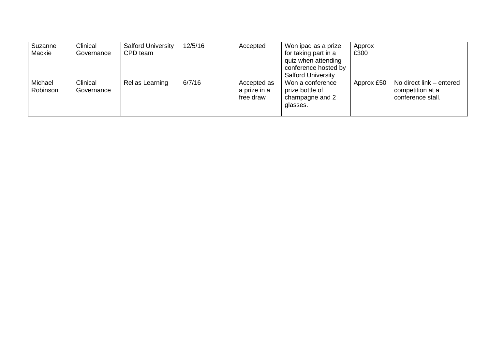| Suzanne  | Clinical   | <b>Salford University</b> | 12/5/16 | Accepted     | Won ipad as a prize       | Approx     |                          |
|----------|------------|---------------------------|---------|--------------|---------------------------|------------|--------------------------|
| Mackie   | Governance | CPD team                  |         |              | for taking part in a      | £300       |                          |
|          |            |                           |         |              | quiz when attending       |            |                          |
|          |            |                           |         |              | conference hosted by      |            |                          |
|          |            |                           |         |              | <b>Salford University</b> |            |                          |
| Michael  | Clinical   | Relias Learning           | 6/7/16  | Accepted as  | Won a conference          | Approx £50 | No direct link - entered |
| Robinson | Governance |                           |         | a prize in a | prize bottle of           |            | competition at a         |
|          |            |                           |         | free draw    | champagne and 2           |            | conference stall.        |
|          |            |                           |         |              | glasses.                  |            |                          |
|          |            |                           |         |              |                           |            |                          |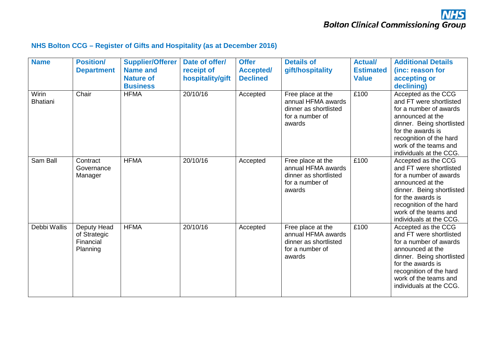#### **NHS Bolton CCG – Register of Gifts and Hospitality (as at December 2016)**

| <b>Name</b>              | <b>Position/</b><br><b>Department</b>                | <b>Supplier/Offerer</b><br><b>Name and</b><br><b>Nature of</b><br><b>Business</b> | Date of offer/<br>receipt of<br>hospitality/gift | <b>Offer</b><br><b>Accepted/</b><br><b>Declined</b> | <b>Details of</b><br>gift/hospitality                                                         | <b>Actual/</b><br><b>Estimated</b><br><b>Value</b> | <b>Additional Details</b><br>(inc: reason for<br>accepting or<br>declining)                                                                                                                                                   |
|--------------------------|------------------------------------------------------|-----------------------------------------------------------------------------------|--------------------------------------------------|-----------------------------------------------------|-----------------------------------------------------------------------------------------------|----------------------------------------------------|-------------------------------------------------------------------------------------------------------------------------------------------------------------------------------------------------------------------------------|
| Wirin<br><b>Bhatiani</b> | Chair                                                | <b>HFMA</b>                                                                       | 20/10/16                                         | Accepted                                            | Free place at the<br>annual HFMA awards<br>dinner as shortlisted<br>for a number of<br>awards | £100                                               | Accepted as the CCG<br>and FT were shortlisted<br>for a number of awards<br>announced at the<br>dinner. Being shortlisted<br>for the awards is<br>recognition of the hard<br>work of the teams and<br>individuals at the CCG. |
| Sam Ball                 | Contract<br>Governance<br>Manager                    | <b>HFMA</b>                                                                       | 20/10/16                                         | Accepted                                            | Free place at the<br>annual HFMA awards<br>dinner as shortlisted<br>for a number of<br>awards | £100                                               | Accepted as the CCG<br>and FT were shortlisted<br>for a number of awards<br>announced at the<br>dinner. Being shortlisted<br>for the awards is<br>recognition of the hard<br>work of the teams and<br>individuals at the CCG. |
| Debbi Wallis             | Deputy Head<br>of Strategic<br>Financial<br>Planning | <b>HFMA</b>                                                                       | 20/10/16                                         | Accepted                                            | Free place at the<br>annual HFMA awards<br>dinner as shortlisted<br>for a number of<br>awards | £100                                               | Accepted as the CCG<br>and FT were shortlisted<br>for a number of awards<br>announced at the<br>dinner. Being shortlisted<br>for the awards is<br>recognition of the hard<br>work of the teams and<br>individuals at the CCG. |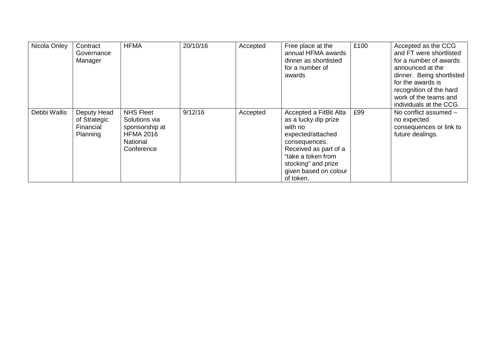| Nicola Onley | Contract<br>Governance<br>Manager                    | <b>HFMA</b>                                                                                              | 20/10/16 | Accepted | Free place at the<br>annual HFMA awards<br>dinner as shortlisted<br>for a number of<br>awards                                                                                                               | £100 | Accepted as the CCG<br>and FT were shortlisted<br>for a number of awards<br>announced at the<br>dinner. Being shortlisted<br>for the awards is<br>recognition of the hard<br>work of the teams and<br>individuals at the CCG. |
|--------------|------------------------------------------------------|----------------------------------------------------------------------------------------------------------|----------|----------|-------------------------------------------------------------------------------------------------------------------------------------------------------------------------------------------------------------|------|-------------------------------------------------------------------------------------------------------------------------------------------------------------------------------------------------------------------------------|
| Debbi Wallis | Deputy Head<br>of Strategic<br>Financial<br>Planning | <b>NHS Fleet</b><br>Solutions via<br>sponsorship at<br><b>HFMA 2016</b><br><b>National</b><br>Conference | 9/12/16  | Accepted | Accepted a FitBit Alta<br>as a lucky dip prize<br>with no<br>expected/attached<br>consequences.<br>Received as part of a<br>"take a token from<br>stocking" and prize<br>given based on colour<br>of token. | £99  | No conflict assumed -<br>no expected<br>consequences or link to<br>future dealings.                                                                                                                                           |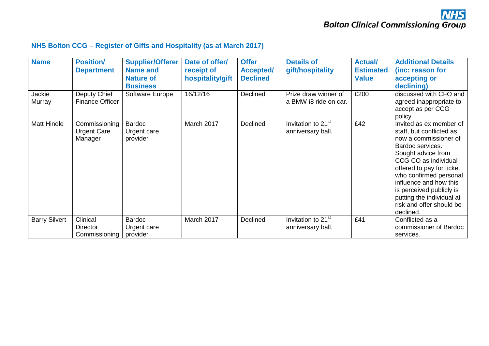#### **NHS Bolton CCG – Register of Gifts and Hospitality (as at March 2017)**

| <b>Name</b><br>Jackie | <b>Position/</b><br><b>Department</b><br>Deputy Chief | <b>Supplier/Offerer</b><br><b>Name and</b><br><b>Nature of</b><br><b>Business</b><br>Software Europe | Date of offer/<br>receipt of<br>hospitality/gift<br>16/12/16 | <b>Offer</b><br><b>Accepted/</b><br><b>Declined</b><br>Declined | <b>Details of</b><br>gift/hospitality<br>Prize draw winner of | <b>Actual/</b><br><b>Estimated</b><br><b>Value</b><br>£200 | <b>Additional Details</b><br>(inc: reason for<br>accepting or<br>declining)<br>discussed with CFO and                                                                                                                                                                                                                             |
|-----------------------|-------------------------------------------------------|------------------------------------------------------------------------------------------------------|--------------------------------------------------------------|-----------------------------------------------------------------|---------------------------------------------------------------|------------------------------------------------------------|-----------------------------------------------------------------------------------------------------------------------------------------------------------------------------------------------------------------------------------------------------------------------------------------------------------------------------------|
| Murray                | <b>Finance Officer</b>                                |                                                                                                      |                                                              |                                                                 | a BMW i8 ride on car.                                         |                                                            | agreed inappropriate to<br>accept as per CCG<br>policy                                                                                                                                                                                                                                                                            |
| <b>Matt Hindle</b>    | Commissioning<br><b>Urgent Care</b><br>Manager        | Bardoc<br>Urgent care<br>provider                                                                    | March 2017                                                   | Declined                                                        | Invitation to 21 <sup>st</sup><br>anniversary ball.           | £42                                                        | Invited as ex member of<br>staff, but conflicted as<br>now a commissioner of<br>Bardoc services.<br>Sought advice from<br>CCG CO as individual<br>offered to pay for ticket<br>who confirmed personal<br>influence and how this<br>is perceived publicly is<br>putting the individual at<br>risk and offer should be<br>declined. |
| <b>Barry Silvert</b>  | Clinical<br><b>Director</b><br>Commissioning          | <b>Bardoc</b><br>Urgent care<br>provider                                                             | March 2017                                                   | Declined                                                        | Invitation to 21 <sup>st</sup><br>anniversary ball.           | £41                                                        | Conflicted as a<br>commissioner of Bardoc<br>services.                                                                                                                                                                                                                                                                            |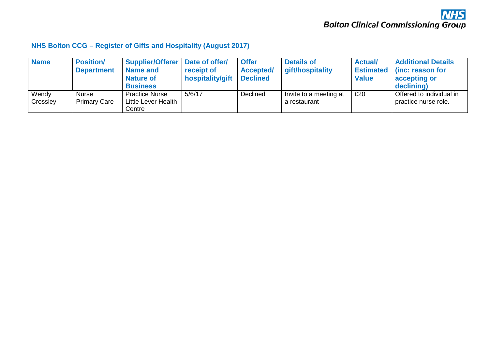#### **NHS Bolton CCG – Register of Gifts and Hospitality (August 2017)**

| <b>Name</b> | <b>Position/</b>    | <b>Supplier/Offerer</b> | Date of offer/   | <b>Offer</b>     | <b>Details of</b>      | <b>Actual</b> | <b>Additional Details</b>  |
|-------------|---------------------|-------------------------|------------------|------------------|------------------------|---------------|----------------------------|
|             | <b>Department</b>   | <b>Name and</b>         | receipt of       | <b>Accepted/</b> | gift/hospitality       |               | Estimated (inc: reason for |
|             |                     | <b>Nature of</b>        | hospitality/gift | <b>Declined</b>  |                        | <b>Value</b>  | accepting or               |
|             |                     | <b>Business</b>         |                  |                  |                        |               | declining)                 |
| Wendy       | Nurse               | <b>Practice Nurse</b>   | 5/6/17           | Declined         | Invite to a meeting at | £20           | Offered to individual in   |
| Crossley    | <b>Primary Care</b> | Little Lever Health     |                  |                  | a restaurant           |               | practice nurse role.       |
|             |                     | Centre                  |                  |                  |                        |               |                            |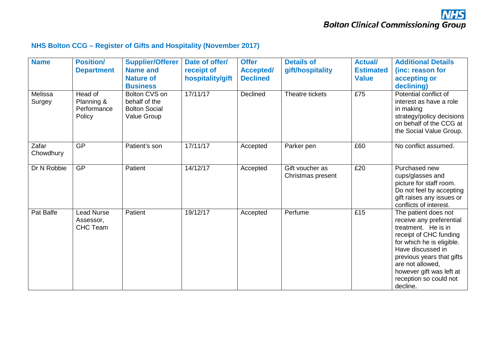#### **NHS Bolton CCG – Register of Gifts and Hospitality (November 2017)**

| <b>Name</b>        | <b>Position/</b><br><b>Department</b>          | <b>Supplier/Offerer</b><br><b>Name and</b><br><b>Nature of</b><br><b>Business</b> | Date of offer/<br>receipt of<br>hospitality/gift | <b>Offer</b><br><b>Accepted/</b><br><b>Declined</b> | <b>Details of</b><br>gift/hospitality | <b>Actual/</b><br><b>Estimated</b><br><b>Value</b> | <b>Additional Details</b><br>(inc: reason for<br>accepting or<br>declining)                                                                                                                                                                                            |
|--------------------|------------------------------------------------|-----------------------------------------------------------------------------------|--------------------------------------------------|-----------------------------------------------------|---------------------------------------|----------------------------------------------------|------------------------------------------------------------------------------------------------------------------------------------------------------------------------------------------------------------------------------------------------------------------------|
| Melissa<br>Surgey  | Head of<br>Planning &<br>Performance<br>Policy | Bolton CVS on<br>behalf of the<br><b>Bolton Social</b><br><b>Value Group</b>      | 17/11/17                                         | <b>Declined</b>                                     | Theatre tickets                       | £75                                                | Potential conflict of<br>interest as have a role<br>in making<br>strategy/policy decisions<br>on behalf of the CCG at<br>the Social Value Group.                                                                                                                       |
| Zafar<br>Chowdhury | <b>GP</b>                                      | Patient's son                                                                     | 17/11/17                                         | Accepted                                            | Parker pen                            | £60                                                | No conflict assumed.                                                                                                                                                                                                                                                   |
| Dr N Robbie        | <b>GP</b>                                      | Patient                                                                           | 14/12/17                                         | Accepted                                            | Gift voucher as<br>Christmas present  | £20                                                | Purchased new<br>cups/glasses and<br>picture for staff room.<br>Do not feel by accepting<br>gift raises any issues or<br>conflicts of interest.                                                                                                                        |
| Pat Balfe          | Lead Nurse<br>Assessor,<br><b>CHC Team</b>     | Patient                                                                           | 19/12/17                                         | Accepted                                            | Perfume                               | £15                                                | The patient does not<br>receive any preferential<br>treatment. He is in<br>receipt of CHC funding<br>for which he is eligible.<br>Have discussed in<br>previous years that gifts<br>are not allowed,<br>however gift was left at<br>reception so could not<br>decline. |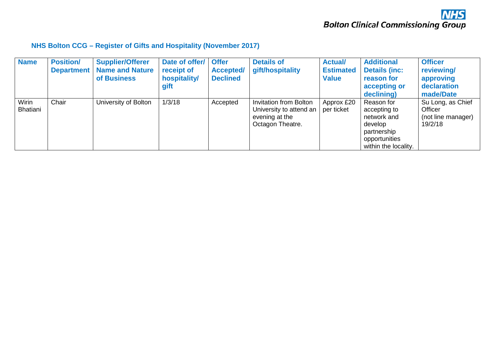#### **NHS Bolton CCG – Register of Gifts and Hospitality (November 2017)**

| <b>Name</b>       | <b>Position/</b>  | <b>Supplier/Offerer</b> | Date of offer/ | <b>Offer</b>     | <b>Details of</b>                                                                              | <b>Actual/</b>           | <b>Additional</b>                                                                                            | <b>Officer</b>                                                |
|-------------------|-------------------|-------------------------|----------------|------------------|------------------------------------------------------------------------------------------------|--------------------------|--------------------------------------------------------------------------------------------------------------|---------------------------------------------------------------|
|                   | <b>Department</b> | <b>Name and Nature</b>  | receipt of     | <b>Accepted/</b> | gift/hospitality                                                                               | <b>Estimated</b>         | <b>Details (inc:</b>                                                                                         | reviewing/                                                    |
|                   |                   | of Business             | hospitality/   | <b>Declined</b>  |                                                                                                | <b>Value</b>             | reason for                                                                                                   | approving                                                     |
|                   |                   |                         | gift           |                  |                                                                                                |                          | accepting or                                                                                                 | declaration                                                   |
|                   |                   |                         |                |                  |                                                                                                |                          | declining)                                                                                                   | made/Date                                                     |
| Wirin<br>Bhatiani | Chair             | University of Bolton    | 1/3/18         | Accepted         | <b>Invitation from Bolton</b><br>University to attend an<br>evening at the<br>Octagon Theatre. | Approx £20<br>per ticket | Reason for<br>accepting to<br>network and<br>develop<br>partnership<br>opportunities<br>within the locality. | Su Long, as Chief<br>Officer<br>(not line manager)<br>19/2/18 |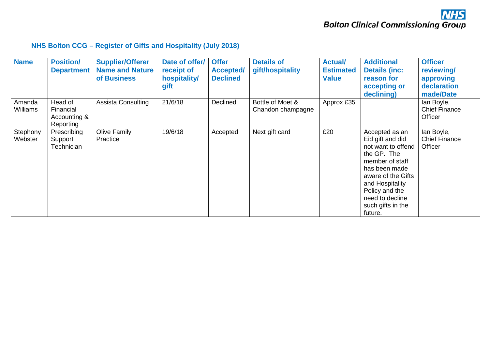#### **NHS Bolton CCG – Register of Gifts and Hospitality (July 2018)**

| <b>Name</b>               | <b>Position/</b><br><b>Department</b>             | <b>Supplier/Offerer</b><br><b>Name and Nature</b><br>of Business | Date of offer/<br>receipt of<br>hospitality/<br>gift | <b>Offer</b><br><b>Accepted/</b><br><b>Declined</b> | <b>Details of</b><br>gift/hospitality | <b>Actual/</b><br><b>Estimated</b><br><b>Value</b> | <b>Additional</b><br><b>Details (inc:</b><br>reason for<br>accepting or<br>declining)                                                                                                                                     | <b>Officer</b><br>reviewing/<br>approving<br>declaration<br>made/Date |
|---------------------------|---------------------------------------------------|------------------------------------------------------------------|------------------------------------------------------|-----------------------------------------------------|---------------------------------------|----------------------------------------------------|---------------------------------------------------------------------------------------------------------------------------------------------------------------------------------------------------------------------------|-----------------------------------------------------------------------|
| Amanda<br><b>Williams</b> | Head of<br>Financial<br>Accounting &<br>Reporting | <b>Assista Consulting</b>                                        | 21/6/18                                              | Declined                                            | Bottle of Moet &<br>Chandon champagne | Approx £35                                         |                                                                                                                                                                                                                           | lan Boyle,<br><b>Chief Finance</b><br>Officer                         |
| Stephony<br>Webster       | Prescribing<br>Support<br>Technician              | <b>Olive Family</b><br>Practice                                  | 19/6/18                                              | Accepted                                            | Next gift card                        | £20                                                | Accepted as an<br>Eid gift and did<br>not want to offend<br>the GP. The<br>member of staff<br>has been made<br>aware of the Gifts<br>and Hospitality<br>Policy and the<br>need to decline<br>such gifts in the<br>future. | lan Boyle,<br><b>Chief Finance</b><br>Officer                         |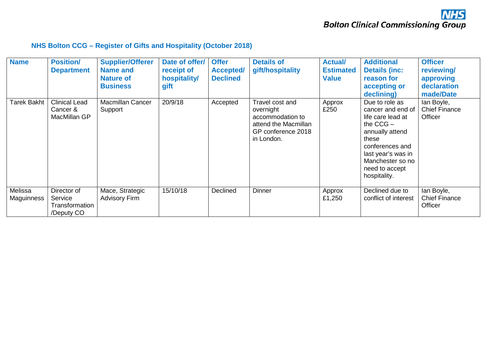#### **NHS Bolton CCG – Register of Gifts and Hospitality (October 2018)**

| <b>Name</b>                  | <b>Position/</b><br><b>Department</b>                  | <b>Supplier/Offerer</b><br><b>Name and</b><br><b>Nature of</b><br><b>Business</b> | Date of offer/<br>receipt of<br>hospitality/<br>gift | <b>Offer</b><br><b>Accepted/</b><br><b>Declined</b> | <b>Details of</b><br>gift/hospitality                                                                        | <b>Actual/</b><br><b>Estimated</b><br><b>Value</b> | <b>Additional</b><br><b>Details (inc:</b><br>reason for<br>accepting or<br>declining)                                                                                                              | <b>Officer</b><br>reviewing/<br>approving<br>declaration<br>made/Date |
|------------------------------|--------------------------------------------------------|-----------------------------------------------------------------------------------|------------------------------------------------------|-----------------------------------------------------|--------------------------------------------------------------------------------------------------------------|----------------------------------------------------|----------------------------------------------------------------------------------------------------------------------------------------------------------------------------------------------------|-----------------------------------------------------------------------|
| Tarek Bakht                  | <b>Clinical Lead</b><br>Cancer &<br>MacMillan GP       | Macmillan Cancer<br>Support                                                       | 20/9/18                                              | Accepted                                            | Travel cost and<br>overnight<br>accommodation to<br>attend the Macmillan<br>GP conference 2018<br>in London. | Approx<br>£250                                     | Due to role as<br>cancer and end of<br>life care lead at<br>the $CCG -$<br>annually attend<br>these<br>conferences and<br>last year's was in<br>Manchester so no<br>need to accept<br>hospitality. | lan Boyle,<br><b>Chief Finance</b><br>Officer                         |
| Melissa<br><b>Maguinness</b> | Director of<br>Service<br>Transformation<br>/Deputy CO | Mace, Strategic<br><b>Advisory Firm</b>                                           | 15/10/18                                             | Declined                                            | <b>Dinner</b>                                                                                                | Approx<br>£1,250                                   | Declined due to<br>conflict of interest                                                                                                                                                            | lan Boyle,<br><b>Chief Finance</b><br>Officer                         |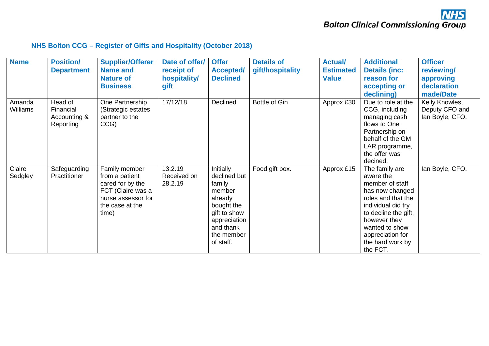#### **NHS Bolton CCG – Register of Gifts and Hospitality (October 2018)**

| <b>Name</b>               | <b>Position/</b>                                  | <b>Supplier/Offerer</b>                                                                                                    | Date of offer/                    | <b>Offer</b>                                                                                                                                   | <b>Details of</b> | <b>Actual/</b>   | <b>Additional</b>                                                                                                                                                                                                           | <b>Officer</b>                                      |
|---------------------------|---------------------------------------------------|----------------------------------------------------------------------------------------------------------------------------|-----------------------------------|------------------------------------------------------------------------------------------------------------------------------------------------|-------------------|------------------|-----------------------------------------------------------------------------------------------------------------------------------------------------------------------------------------------------------------------------|-----------------------------------------------------|
|                           | <b>Department</b>                                 | <b>Name and</b>                                                                                                            | receipt of                        | <b>Accepted/</b>                                                                                                                               | gift/hospitality  | <b>Estimated</b> | <b>Details (inc:</b>                                                                                                                                                                                                        | reviewing/                                          |
|                           |                                                   | <b>Nature of</b>                                                                                                           | hospitality/                      | <b>Declined</b>                                                                                                                                |                   | <b>Value</b>     | reason for                                                                                                                                                                                                                  | approving                                           |
|                           |                                                   | <b>Business</b>                                                                                                            | gift                              |                                                                                                                                                |                   |                  | accepting or                                                                                                                                                                                                                | declaration                                         |
|                           |                                                   |                                                                                                                            |                                   |                                                                                                                                                |                   |                  | declining)                                                                                                                                                                                                                  | made/Date                                           |
| Amanda<br><b>Williams</b> | Head of<br>Financial<br>Accounting &<br>Reporting | One Partnership<br>(Strategic estates<br>partner to the<br>CCG)                                                            | 17/12/18                          | Declined                                                                                                                                       | Bottle of Gin     | Approx £30       | Due to role at the<br>CCG, including<br>managing cash<br>flows to One<br>Partnership on<br>behalf of the GM<br>LAR programme,<br>the offer was<br>decined.                                                                  | Kelly Knowles,<br>Deputy CFO and<br>lan Boyle, CFO. |
| Claire<br>Sedgley         | Safeguarding<br>Practitioner                      | Family member<br>from a patient<br>cared for by the<br>FCT (Claire was a<br>nurse assessor for<br>the case at the<br>time) | 13.2.19<br>Received on<br>28.2.19 | Initially<br>declined but<br>family<br>member<br>already<br>bought the<br>gift to show<br>appreciation<br>and thank<br>the member<br>of staff. | Food gift box.    | Approx £15       | The family are<br>aware the<br>member of staff<br>has now changed<br>roles and that the<br>individual did try<br>to decline the gift,<br>however they<br>wanted to show<br>appreciation for<br>the hard work by<br>the FCT. | lan Boyle, CFO.                                     |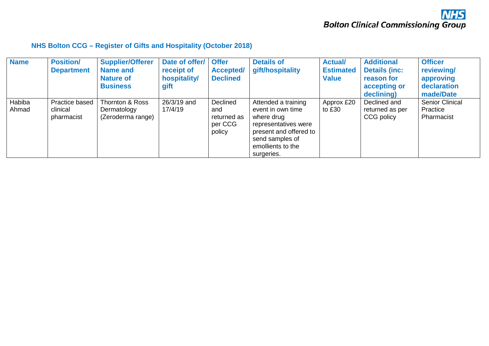#### **NHS Bolton CCG – Register of Gifts and Hospitality (October 2018)**

| <b>Name</b>     | <b>Position/</b><br><b>Department</b>    | <b>Supplier/Offerer</b><br><b>Name and</b><br><b>Nature of</b><br><b>Business</b> | Date of offer/<br>receipt of<br>hospitality/<br>gift | <b>Offer</b><br><b>Accepted/</b><br><b>Declined</b> | <b>Details of</b><br>gift/hospitality                                                                                                                          | <b>Actual/</b><br><b>Estimated</b><br><b>Value</b> | <b>Additional</b><br><b>Details (inc:</b><br>reason for<br>accepting or<br>declining) | <b>Officer</b><br>reviewing/<br>approving<br>declaration<br>made/Date |
|-----------------|------------------------------------------|-----------------------------------------------------------------------------------|------------------------------------------------------|-----------------------------------------------------|----------------------------------------------------------------------------------------------------------------------------------------------------------------|----------------------------------------------------|---------------------------------------------------------------------------------------|-----------------------------------------------------------------------|
| Habiba<br>Ahmad | Practice based<br>clinical<br>pharmacist | Thornton & Ross<br>Dermatology<br>(Zeroderma range)                               | 26/3/19 and<br>17/4/19                               | Declined<br>and<br>returned as<br>per CCG<br>policy | Attended a training<br>event in own time<br>where drug<br>representatives were<br>present and offered to<br>send samples of<br>emollients to the<br>surgeries. | Approx £20<br>to £30                               | Declined and<br>returned as per<br>CCG policy                                         | <b>Senior Clinical</b><br>Practice<br>Pharmacist                      |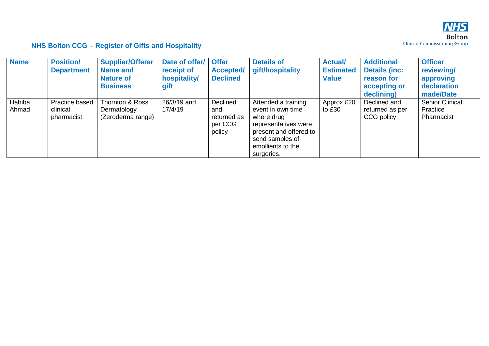

| <b>Name</b>     | <b>Position/</b><br><b>Department</b>    | <b>Supplier/Offerer</b><br><b>Name and</b><br><b>Nature of</b><br><b>Business</b> | Date of offer/<br>receipt of<br>hospitality/<br>gift | <b>Offer</b><br><b>Accepted/</b><br><b>Declined</b> | <b>Details of</b><br>gift/hospitality                                                                                                                          | <b>Actual/</b><br><b>Estimated</b><br><b>Value</b> | <b>Additional</b><br><b>Details (inc:</b><br>reason for<br>accepting or<br>declining) | <b>Officer</b><br>reviewing/<br>approving<br>declaration<br>made/Date |
|-----------------|------------------------------------------|-----------------------------------------------------------------------------------|------------------------------------------------------|-----------------------------------------------------|----------------------------------------------------------------------------------------------------------------------------------------------------------------|----------------------------------------------------|---------------------------------------------------------------------------------------|-----------------------------------------------------------------------|
| Habiba<br>Ahmad | Practice based<br>clinical<br>pharmacist | Thornton & Ross<br>Dermatology<br>(Zeroderma range)                               | 26/3/19 and<br>17/4/19                               | Declined<br>and<br>returned as<br>per CCG<br>policy | Attended a training<br>event in own time<br>where drug<br>representatives were<br>present and offered to<br>send samples of<br>emollients to the<br>surgeries. | Approx £20<br>to £30                               | Declined and<br>returned as per<br>CCG policy                                         | <b>Senior Clinical</b><br>Practice<br>Pharmacist                      |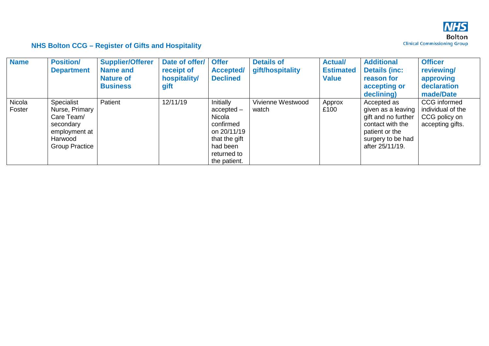

| <b>Name</b>      | <b>Position/</b><br><b>Department</b>                                                                        | <b>Supplier/Offerer</b><br><b>Name and</b><br><b>Nature of</b><br><b>Business</b> | Date of offer/<br>receipt of<br>hospitality/<br>gift | <b>Offer</b><br><b>Accepted/</b><br><b>Declined</b>                                                                         | <b>Details of</b><br>gift/hospitality | <b>Actual/</b><br><b>Estimated</b><br><b>Value</b> | <b>Additional</b><br><b>Details (inc:</b><br>reason for<br>accepting or<br>declining)                                                  | <b>Officer</b><br>reviewing/<br>approving<br>declaration<br>made/Date  |
|------------------|--------------------------------------------------------------------------------------------------------------|-----------------------------------------------------------------------------------|------------------------------------------------------|-----------------------------------------------------------------------------------------------------------------------------|---------------------------------------|----------------------------------------------------|----------------------------------------------------------------------------------------------------------------------------------------|------------------------------------------------------------------------|
| Nicola<br>Foster | Specialist<br>Nurse, Primary<br>Care Team/<br>secondary<br>employment at<br>Harwood<br><b>Group Practice</b> | Patient                                                                           | 12/11/19                                             | Initially<br>$accelted -$<br>Nicola<br>confirmed<br>on 20/11/19<br>that the gift<br>had been<br>returned to<br>the patient. | Vivienne Westwood<br>watch            | Approx<br>£100                                     | Accepted as<br>given as a leaving<br>gift and no further<br>contact with the<br>patient or the<br>surgery to be had<br>after 25/11/19. | CCG informed<br>individual of the<br>CCG policy on<br>accepting gifts. |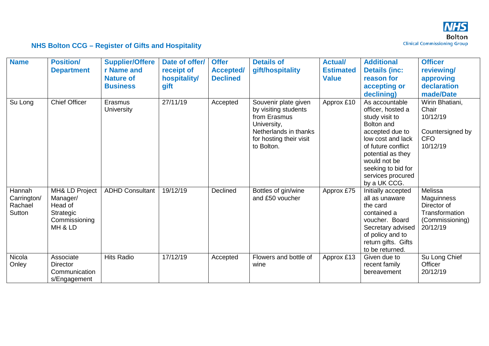

| <b>Name</b>                                | <b>Position/</b><br><b>Department</b>                                          | <b>Supplier/Offere</b><br>r Name and<br><b>Nature of</b><br><b>Business</b> | Date of offer/<br>receipt of<br>hospitality/<br>gift | <b>Offer</b><br><b>Accepted/</b><br><b>Declined</b> | <b>Details of</b><br>gift/hospitality                                                                                                         | <b>Actual/</b><br><b>Estimated</b><br><b>Value</b> | <b>Additional</b><br><b>Details (inc:</b><br>reason for<br>accepting or                                                                                                                                                                         | <b>Officer</b><br>reviewing/<br>approving<br>declaration                                        |
|--------------------------------------------|--------------------------------------------------------------------------------|-----------------------------------------------------------------------------|------------------------------------------------------|-----------------------------------------------------|-----------------------------------------------------------------------------------------------------------------------------------------------|----------------------------------------------------|-------------------------------------------------------------------------------------------------------------------------------------------------------------------------------------------------------------------------------------------------|-------------------------------------------------------------------------------------------------|
| Su Long                                    | <b>Chief Officer</b>                                                           | Erasmus<br>University                                                       | 27/11/19                                             | Accepted                                            | Souvenir plate given<br>by visiting students<br>from Erasmus<br>University,<br>Netherlands in thanks<br>for hosting their visit<br>to Bolton. | Approx £10                                         | declining)<br>As accountable<br>officer, hosted a<br>study visit to<br>Bolton and<br>accepted due to<br>low cost and lack<br>of future conflict<br>potential as they<br>would not be<br>seeking to bid for<br>services procured<br>by a UK CCG. | made/Date<br>Wirin Bhatiani,<br>Chair<br>10/12/19<br>Countersigned by<br><b>CFO</b><br>10/12/19 |
| Hannah<br>Carrington/<br>Rachael<br>Sutton | MH& LD Project<br>Manager/<br>Head of<br>Strategic<br>Commissioning<br>MH & LD | <b>ADHD Consultant</b>                                                      | 19/12/19                                             | Declined                                            | Bottles of gin/wine<br>and £50 voucher                                                                                                        | Approx £75                                         | Initially accepted<br>all as unaware<br>the card<br>contained a<br>voucher. Board<br>Secretary advised<br>of policy and to<br>return gifts. Gifts<br>to be returned.                                                                            | Melissa<br>Maguinness<br>Director of<br>Transformation<br>(Commissioning)<br>20/12/19           |
| Nicola<br>Onley                            | Associate<br><b>Director</b><br>Communication<br>s/Engagement                  | <b>Hits Radio</b>                                                           | 17/12/19                                             | Accepted                                            | Flowers and bottle of<br>wine                                                                                                                 | Approx £13                                         | Given due to<br>recent family<br>bereavement                                                                                                                                                                                                    | Su Long Chief<br>Officer<br>20/12/19                                                            |